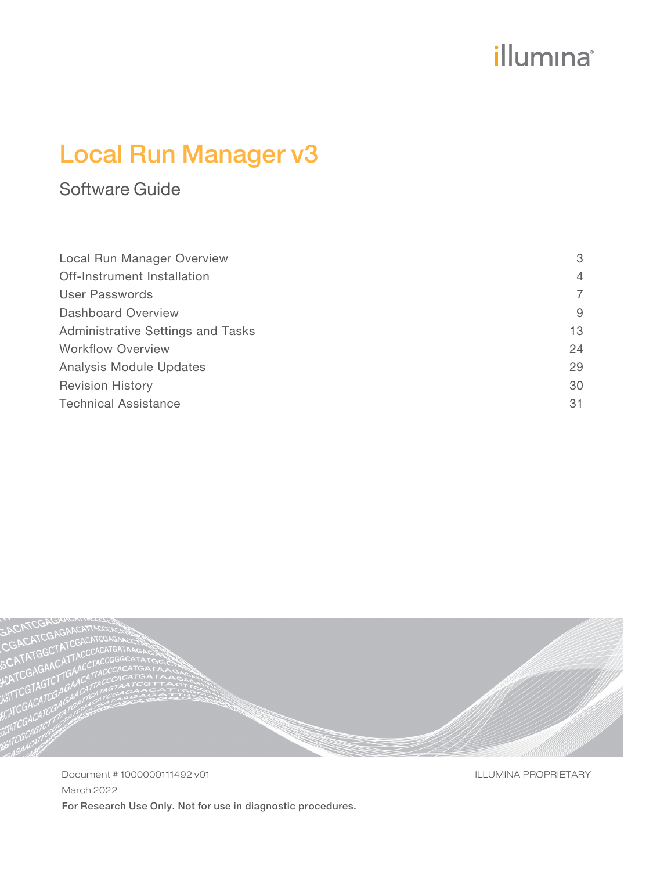# illumina®

# Local Run Manager v3

## Software Guide

| Local Run Manager Overview        | 3              |
|-----------------------------------|----------------|
| Off-Instrument Installation       | $\overline{4}$ |
| User Passwords                    | 7              |
| Dashboard Overview                | 9              |
| Administrative Settings and Tasks | 13             |
| <b>Workflow Overview</b>          | 24             |
| Analysis Module Updates           | 29             |
| <b>Revision History</b>           | 30             |
| <b>Technical Assistance</b>       | 31             |



Document # 1000000111492 v01 March 2022 For Research Use Only. Not for use in diagnostic procedures. ILLUMINA PROPRIETARY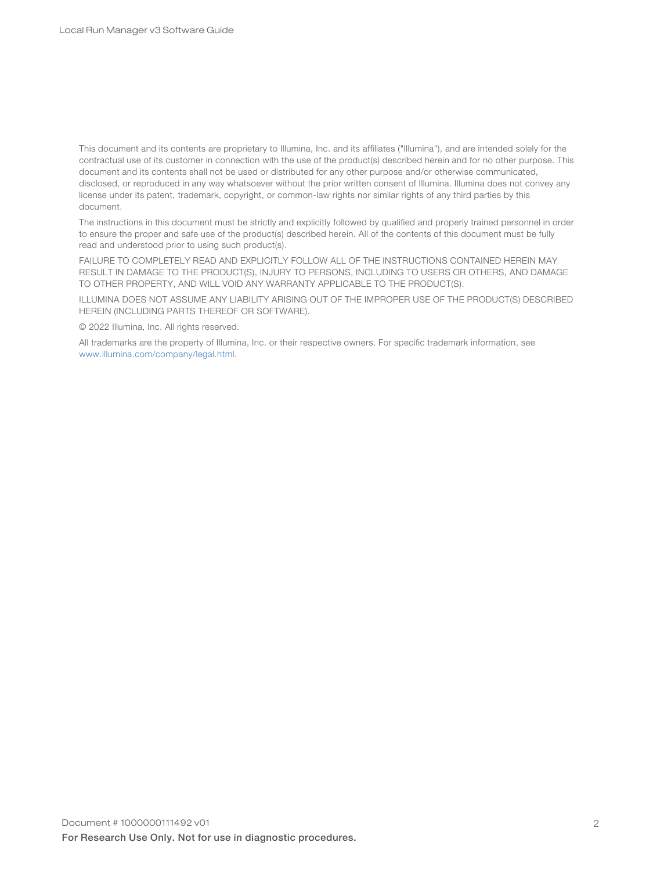This document and its contents are proprietary to Illumina, Inc. and its affiliates ("Illumina"), and are intended solely for the contractual use of its customer in connection with the use of the product(s) described herein and for no other purpose. This document and its contents shall not be used or distributed for any other purpose and/or otherwise communicated, disclosed, or reproduced in any way whatsoever without the prior written consent of Illumina. Illumina does not convey any license under its patent, trademark, copyright, or common-law rights nor similar rights of any third parties by this document.

The instructions in this document must be strictly and explicitly followed by qualified and properly trained personnel in order to ensure the proper and safe use of the product(s) described herein. All of the contents of this document must be fully read and understood prior to using such product(s).

FAILURE TO COMPLETELY READ AND EXPLICITLY FOLLOW ALL OF THE INSTRUCTIONS CONTAINED HEREIN MAY RESULT IN DAMAGE TO THE PRODUCT(S), INJURY TO PERSONS, INCLUDING TO USERS OR OTHERS, AND DAMAGE TO OTHER PROPERTY, AND WILL VOID ANY WARRANTY APPLICABLE TO THE PRODUCT(S).

ILLUMINA DOES NOT ASSUME ANY LIABILITY ARISING OUT OF THE IMPROPER USE OF THE PRODUCT(S) DESCRIBED HEREIN (INCLUDING PARTS THEREOF OR SOFTWARE).

© 2022 Illumina, Inc. All rights reserved.

All trademarks are the property of Illumina, Inc. or their respective owners. For specific trademark information, see [www.illumina.com/company/legal.html](http://www.illumina.com/company/legal.html).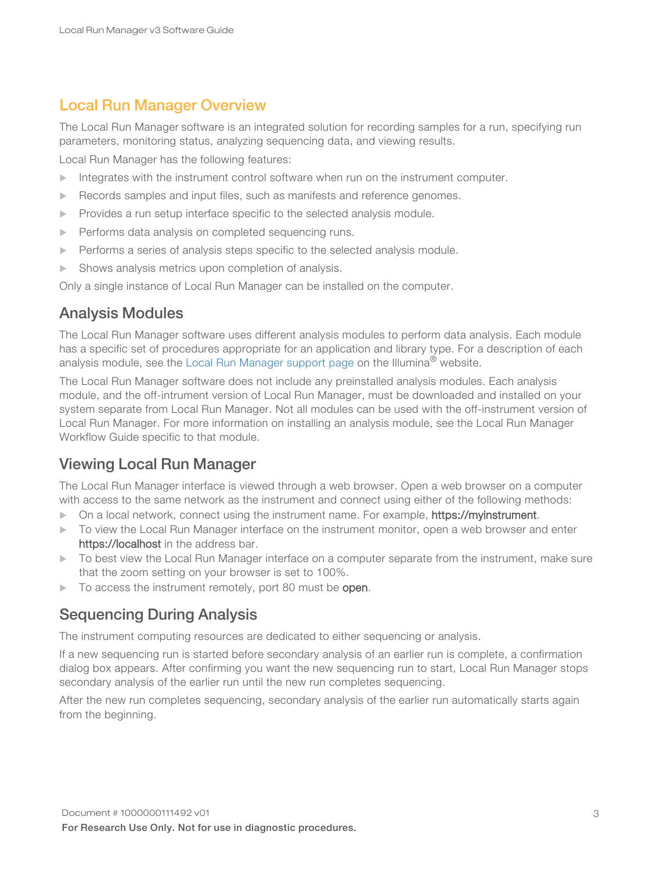### <span id="page-2-0"></span>Local Run Manager Overview

The Local Run Manager software is an integrated solution for recording samples for a run, specifying run parameters, monitoring status, analyzing sequencing data, and viewing results.

Local Run Manager has the following features:

- $\blacktriangleright$  Integrates with the instrument control software when run on the instrument computer.
- $\blacktriangleright$  Records samples and input files, such as manifests and reference genomes.
- $\blacktriangleright$  Provides a run setup interface specific to the selected analysis module.
- Performs data analysis on completed sequencing runs.
- $\blacktriangleright$  Performs a series of analysis steps specific to the selected analysis module.
- $\blacktriangleright$  Shows analysis metrics upon completion of analysis.

Only a single instance of Local Run Manager can be installed on the computer.

### Analysis Modules

The Local Run Manager software uses different analysis modules to perform data analysis. Each module has a specific set of procedures appropriate for an application and library type. For a description of each analysis module, see the Local Run [Manager](http://support.illumina.com/sequencing/sequencing_software/local-run-manager.html) support page on the Illumina<sup>®</sup> website.

The Local Run Manager software does not include any preinstalled analysis modules. Each analysis module, and the off-intrument version of Local Run Manager, must be downloaded and installed on your system separate from Local Run Manager. Not all modules can be used with the off-instrument version of Local Run Manager. For more information on installing an analysis module, see the Local Run Manager Workflow Guide specific to that module.

### Viewing Local Run Manager

The Local Run Manager interface is viewed through a web browser. Open a web browser on a computer with access to the same network as the instrument and connect using either of the following methods:

- ▶ On a local network, connect using the instrument name. For example, https://myinstrument.
- $\triangleright$  To view the Local Run Manager interface on the instrument monitor, open a web browser and enter https://localhost in the address bar.
- $\triangleright$  To best view the Local Run Manager interface on a computer separate from the instrument, make sure that the zoom setting on your browser is set to 100%.
- $\triangleright$  To access the instrument remotely, port 80 must be open.

### Sequencing During Analysis

The instrument computing resources are dedicated to either sequencing or analysis.

If a new sequencing run is started before secondary analysis of an earlier run is complete, a confirmation dialog box appears. After confirming you want the new sequencing run to start, Local Run Manager stops secondary analysis of the earlier run until the new run completes sequencing.

After the new run completes sequencing, secondary analysis of the earlier run automatically starts again from the beginning.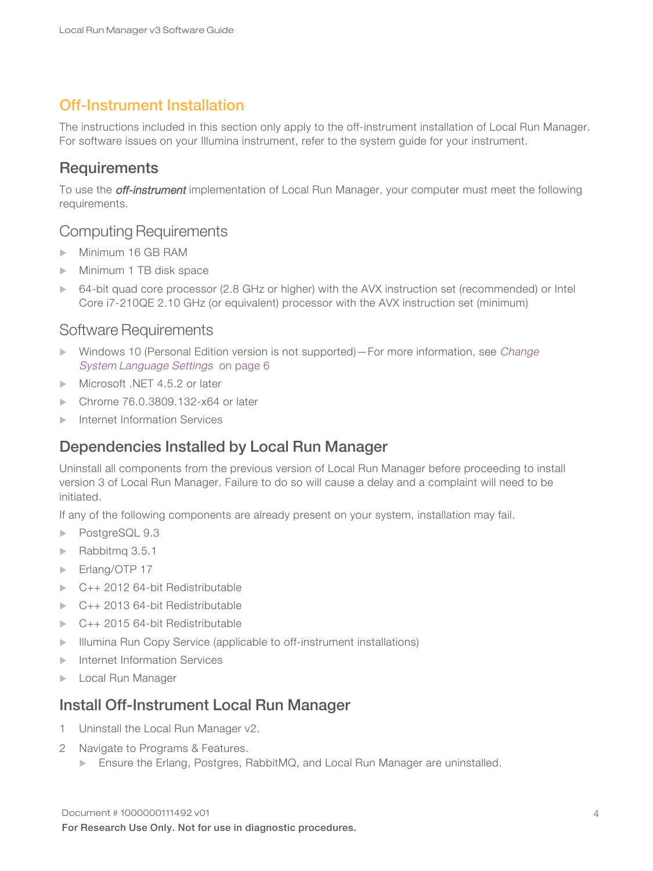### <span id="page-3-0"></span>Off-Instrument Installation

The instructions included in this section only apply to the off-instrument installation of Local Run Manager. For software issues on your Illumina instrument, refer to the system guide for your instrument.

### **Requirements**

To use the *off-instrument* implementation of Local Run Manager, your computer must meet the following requirements.

### Computing Requirements

- Minimum 16 GB RAM
- Minimum 1 TB disk space
- 64-bit quad core processor (2.8 GHz or higher) with the AVX instruction set (recommended) or Intel Core i7-210QE 2.10 GHz (or equivalent) processor with the AVX instruction set (minimum)

### Software Requirements

- Windows 10 (Personal Edition version is not supported)—For more information, see [Change](#page-5-0) [System Language](#page-5-0) Settings on page 6
- $\blacktriangleright$  Microsoft .NFT 4.5.2 or later
- Chrome 76.0.3809.132-x64 or later
- $\blacktriangleright$  Internet Information Services

### Dependencies Installed by Local Run Manager

Uninstall all components from the previous version of Local Run Manager before proceeding to install version 3 of Local Run Manager. Failure to do so will cause a delay and a complaint will need to be initiated.

If any of the following components are already present on your system, installation may fail.

- PostgreSQL 9.3
- $\blacktriangleright$  Rabbitmg 3.5.1
- $\blacktriangleright$  Erlang/OTP 17
- $C_{++}$  2012 64-bit Redistributable
- $C++ 2013 64$ -bit Redistributable
- $C_{++}$  2015 64-bit Redistributable
- **Illumina Run Copy Service (applicable to off-instrument installations)**
- $\blacktriangleright$  Internet Information Services
- **Local Run Manager**

### Install Off-Instrument Local Run Manager

- 1 Uninstall the Local Run Manager v2.
- 2 Navigate to Programs & Features.
	- Ensure the Erlang, Postgres, RabbitMQ, and Local Run Manager are uninstalled.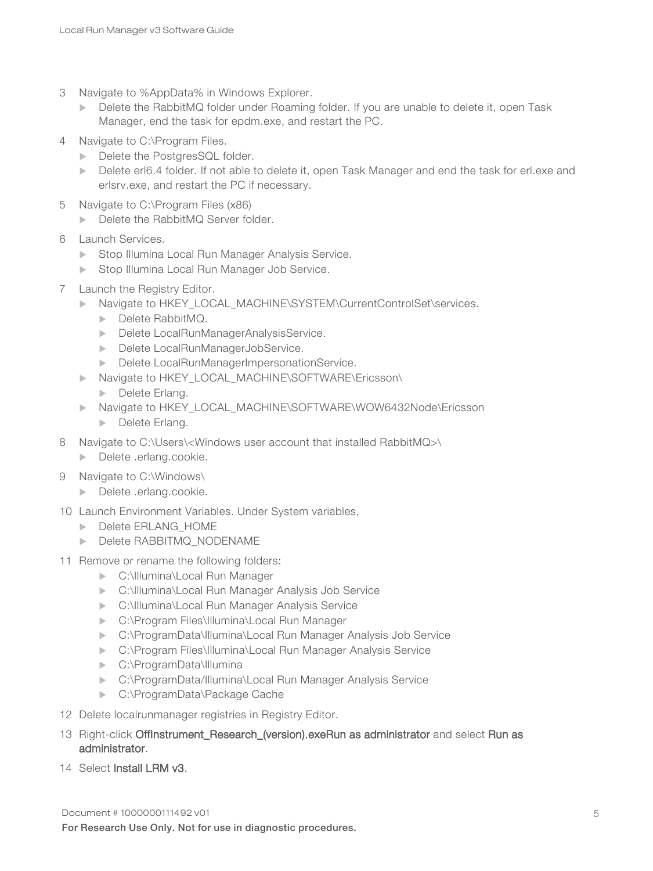- 3 Navigate to %AppData% in Windows Explorer.
	- Delete the RabbitMQ folder under Roaming folder. If you are unable to delete it, open Task Manager, end the task for epdm.exe, and restart the PC.
- 4 Navigate to C:\Program Files.
	- Delete the PostgresSQL folder.
	- Delete erl6.4 folder. If not able to delete it, open Task Manager and end the task for erl.exe and erlsrv.exe, and restart the PC if necessary.
- 5 Navigate to C:\Program Files (x86)
	- Delete the RabbitMQ Server folder.
- 6 Launch Services.
	- **Example 13 Stop Illumina Local Run Manager Analysis Service.**
	- Stop Illumina Local Run Manager Job Service.
- 7 Launch the Registry Editor.
	- **Navigate to HKEY\_LOCAL\_MACHINE\SYSTEM\CurrentControlSet\services.** 
		- $\blacktriangleright$  Delete RabbitMQ.
		- Delete LocalRunManagerAnalysisService.
		- Delete LocalRunManagerJobService.
		- **Delete LocalRunManagerImpersonationService.**
	- ▶ Navigate to HKEY\_LOCAL\_MACHINE\SOFTWARE\Ericsson\
		- $\blacktriangleright$  Delete Erlang.
	- ▶ Navigate to HKEY\_LOCAL\_MACHINE\SOFTWARE\WOW6432Node\Ericsson
		- **Delete Erlang.**
- 8 Navigate to C:\Users\<Windows user account that installed RabbitMQ>\
	- $\blacktriangleright$  Delete .erlang.cookie.
- 9 Navigate to C:\Windows\
	- **Delete** .erlang.cookie.
- 10 Launch Environment Variables. Under System variables,
	- **Delete ERLANG\_HOME**
	- **Delete RABBITMQ\_NODENAME**
- 11 Remove or rename the following folders:
	- ▶ C:\Illumina\Local Run Manager
	- **DE:\Illumina\Local Run Manager Analysis Job Service**
	- **EX: C:\Illumina\Local Run Manager Analysis Service**
	- ▶ C:\Program Files\Illumina\Local Run Manager
	- **EX:\ProgramData\Illumina\Local Run Manager Analysis Job Service**
	- **E:\Program Files\Illumina\Local Run Manager Analysis Service**
	- ▶ C:\ProgramData\Illumina
	- ▶ C:\ProgramData/Illumina\Local Run Manager Analysis Service
	- C:\ProgramData\Package Cache
- 12 Delete localrunmanager registries in Registry Editor.
- 13 Right-click OffInstrument\_Research\_(version).exeRun as administrator and select Run as administrator.
- 14 Select Install LRM v3.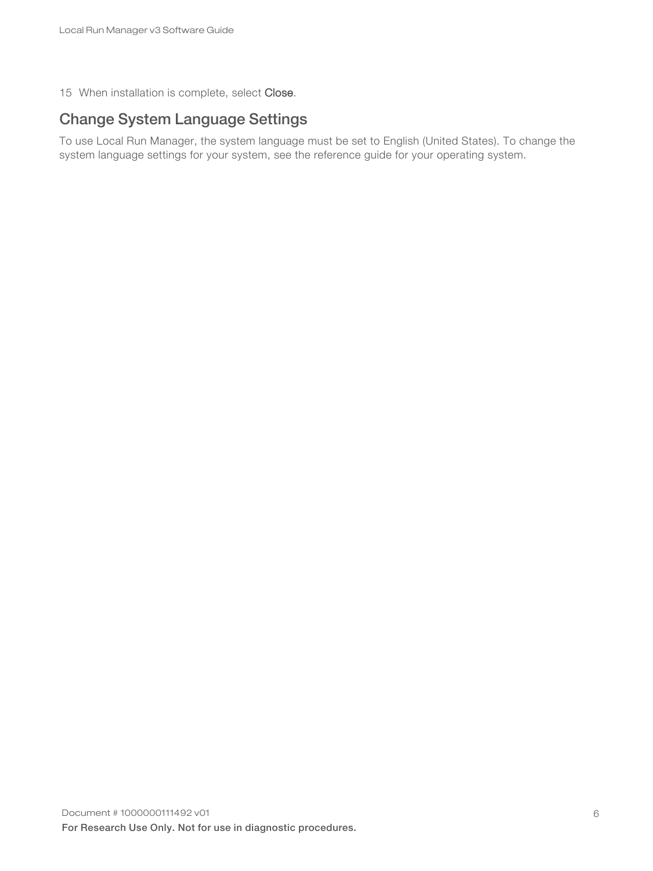<span id="page-5-0"></span>15 When installation is complete, select Close.

### Change System Language Settings

To use Local Run Manager, the system language must be set to English (United States). To change the system language settings for your system, see the reference guide for your operating system.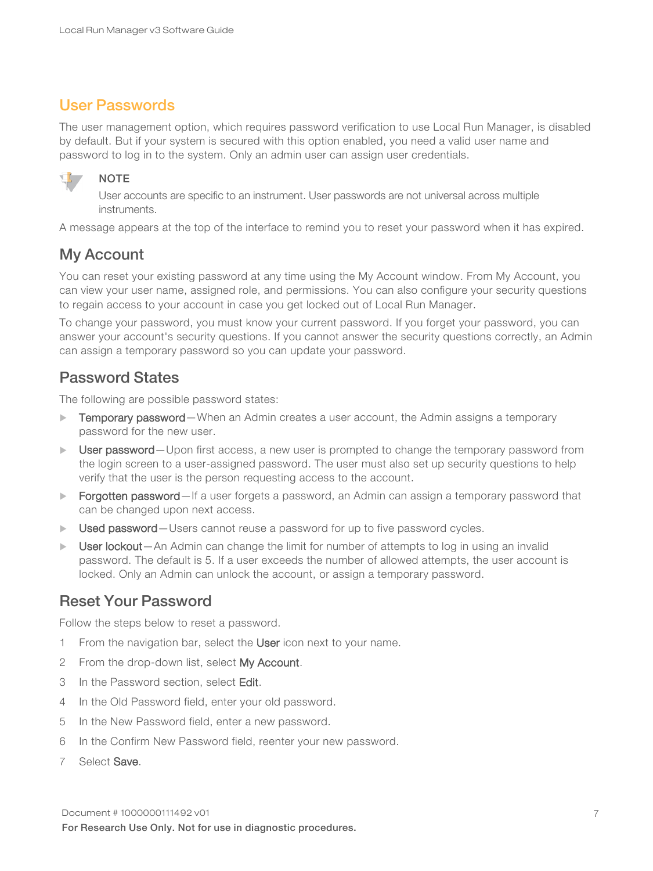### <span id="page-6-0"></span>User Passwords

The user management option, which requires password verification to use Local Run Manager, is disabled by default. But if your system is secured with this option enabled, you need a valid user name and password to log in to the system. Only an admin user can assign user credentials.



NOTE

User accounts are specific to an instrument. User passwords are not universal across multiple instruments.

A message appears at the top of the interface to remind you to reset your password when it has expired.

### My Account

You can reset your existing password at any time using the My Account window. From My Account, you can view your user name, assigned role, and permissions. You can also configure your security questions to regain access to your account in case you get locked out of Local Run Manager.

To change your password, you must know your current password. If you forget your password, you can answer your account's security questions. If you cannot answer the security questions correctly, an Admin can assign a temporary password so you can update your password.

### Password States

The following are possible password states:

- Temporary password—When an Admin creates a user account, the Admin assigns a temporary password for the new user.
- User password—Upon first access, a new user is prompted to change the temporary password from the login screen to a user-assigned password. The user must also set up security questions to help verify that the user is the person requesting access to the account.
- ▶ Forgotten password—If a user forgets a password, an Admin can assign a temporary password that can be changed upon next access.
- Used password–Users cannot reuse a password for up to five password cycles.
- User lockout—An Admin can change the limit for number of attempts to log in using an invalid password. The default is 5. If a user exceeds the number of allowed attempts, the user account is locked. Only an Admin can unlock the account, or assign a temporary password.

### Reset Your Password

Follow the steps below to reset a password.

- 1 From the navigation bar, select the User icon next to your name.
- 2 From the drop-down list, select My Account.
- 3 In the Password section, select Edit.
- 4 In the Old Password field, enter your old password.
- 5 In the New Password field, enter a new password.
- 6 In the Confirm New Password field, reenter your new password.
- 7 Select Save.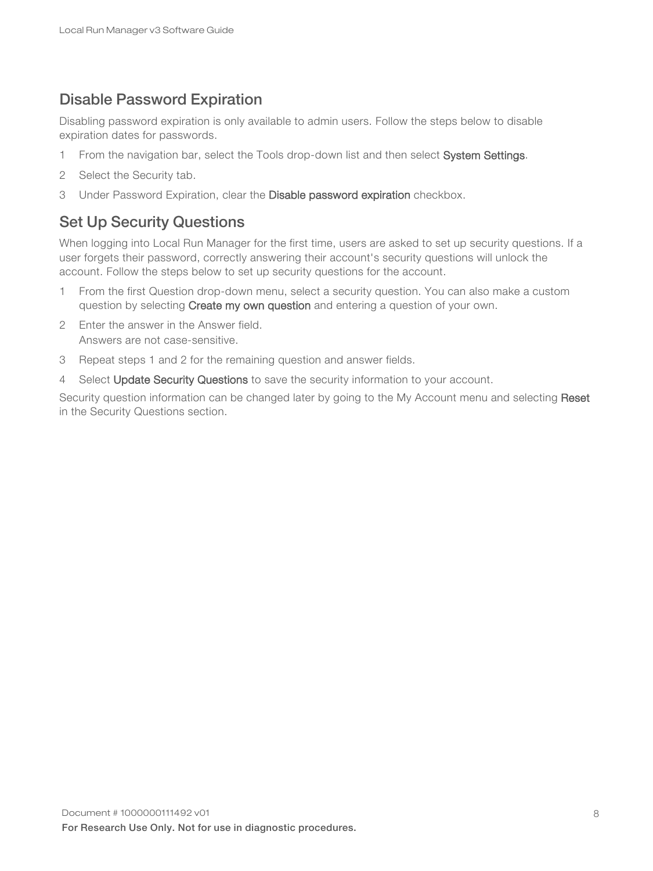### Disable Password Expiration

Disabling password expiration is only available to admin users. Follow the steps below to disable expiration dates for passwords.

- 1 From the navigation bar, select the Tools drop-down list and then select System Settings.
- 2 Select the Security tab.
- <span id="page-7-0"></span>3 Under Password Expiration, clear the Disable password expiration checkbox.

### Set Up Security Questions

When logging into Local Run Manager for the first time, users are asked to set up security questions. If a user forgets their password, correctly answering their account's security questions will unlock the account. Follow the steps below to set up security questions for the account.

- 1 From the first Question drop-down menu, select a security question. You can also make a custom question by selecting Create my own question and entering a question of your own.
- 2 Enter the answer in the Answer field. Answers are not case-sensitive.
- 3 Repeat steps 1 and 2 for the remaining question and answer fields.
- 4 Select Update Security Questions to save the security information to your account.

Security question information can be changed later by going to the My Account menu and selecting Reset in the Security Questions section.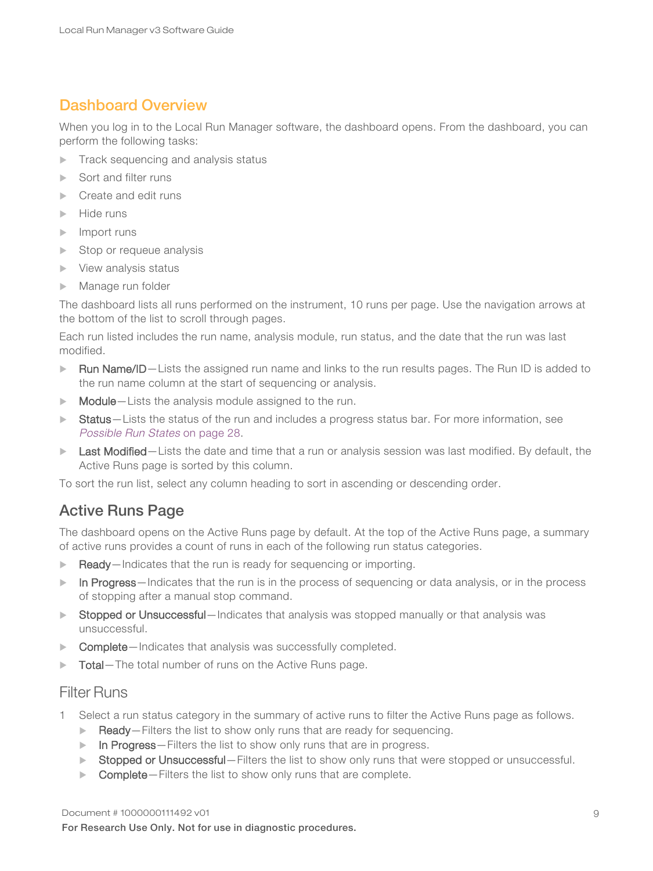### <span id="page-8-0"></span>Dashboard Overview

When you log in to the Local Run Manager software, the dashboard opens. From the dashboard, you can perform the following tasks:

- $\blacktriangleright$  Track sequencing and analysis status
- Sort and filter runs
- Create and edit runs
- $\blacktriangleright$  Hide runs
- $\blacktriangleright$  Import runs
- $\blacktriangleright$  Stop or requeue analysis
- $\blacktriangleright$  View analysis status
- $\blacktriangleright$  Manage run folder

The dashboard lists all runs performed on the instrument, 10 runs per page. Use the navigation arrows at the bottom of the list to scroll through pages.

Each run listed includes the run name, analysis module, run status, and the date that the run was last modified.

- Run Name/ID—Lists the assigned run name and links to the run results pages. The Run ID is added to the run name column at the start of sequencing or analysis.
- $\blacktriangleright$  Module Lists the analysis module assigned to the run.
- Status—Lists the status of the run and includes a progress status bar. For more information, see [Possible](#page-27-0) Run States on page 28.
- $\blacktriangleright$  Last Modified Lists the date and time that a run or analysis session was last modified. By default, the Active Runs page is sorted by this column.

To sort the run list, select any column heading to sort in ascending or descending order.

### Active Runs Page

The dashboard opens on the Active Runs page by default. At the top of the Active Runs page, a summary of active runs provides a count of runs in each of the following run status categories.

- $\blacktriangleright$  Ready—Indicates that the run is ready for sequencing or importing.
- In Progress—Indicates that the run is in the process of sequencing or data analysis, or in the process of stopping after a manual stop command.
- Stopped or Unsuccessful—Indicates that analysis was stopped manually or that analysis was unsuccessful.
- Complete-Indicates that analysis was successfully completed.
- Total—The total number of runs on the Active Runs page.

#### Filter Runs

- 1 Select a run status category in the summary of active runs to filter the Active Runs page as follows.
	- $\blacktriangleright$  Ready—Filters the list to show only runs that are ready for sequencing.
	- $\triangleright$  In Progress Filters the list to show only runs that are in progress.
	- ▶ Stopped or Unsuccessful—Filters the list to show only runs that were stopped or unsuccessful.
	- $\triangleright$  Complete-Filters the list to show only runs that are complete.

#### Document # 1000000111492 v01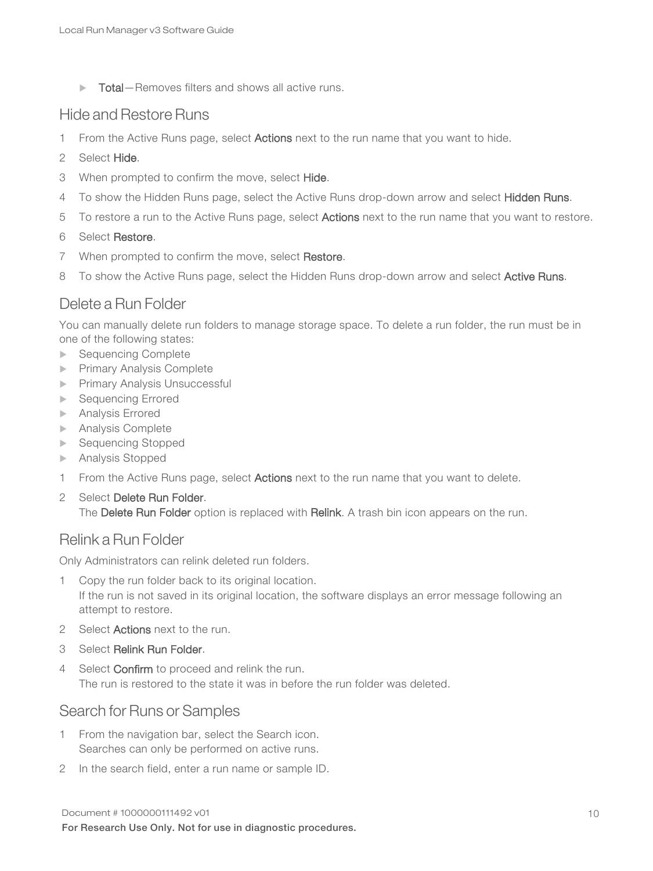$\triangleright$  Total–Removes filters and shows all active runs.

#### Hide and Restore Runs

- 1 From the Active Runs page, select Actions next to the run name that you want to hide.
- 2 Select Hide.
- 3 When prompted to confirm the move, select Hide.
- 4 To show the Hidden Runs page, select the Active Runs drop-down arrow and select Hidden Runs.
- 5 To restore a run to the Active Runs page, select **Actions** next to the run name that you want to restore.

#### 6 Select Restore.

- 7 When prompted to confirm the move, select Restore.
- 8 To show the Active Runs page, select the Hidden Runs drop-down arrow and select Active Runs.

### Delete a Run Folder

You can manually delete run folders to manage storage space. To delete a run folder, the run must be in one of the following states:

- ▶ Sequencing Complete
- **Primary Analysis Complete**
- **Primary Analysis Unsuccessful**
- **Exercise** Sequencing Errored
- $\blacktriangleright$  Analysis Errored
- $\blacktriangleright$  Analysis Complete
- ▶ Sequencing Stopped
- $\blacktriangleright$  Analysis Stopped
- 1 From the Active Runs page, select Actions next to the run name that you want to delete.
- 2 Select Delete Run Folder. The Delete Run Folder option is replaced with Relink. A trash bin icon appears on the run.

### Relink a Run Folder

Only Administrators can relink deleted run folders.

- 1 Copy the run folder back to its original location. If the run is not saved in its original location, the software displays an error message following an attempt to restore.
- 2 Select Actions next to the run.
- 3 Select Relink Run Folder.
- 4 Select Confirm to proceed and relink the run. The run is restored to the state it was in before the run folder was deleted.

#### Search for Runs or Samples

- 1 From the navigation bar, select the Search icon. Searches can only be performed on active runs.
- 2 In the search field, enter a run name or sample ID.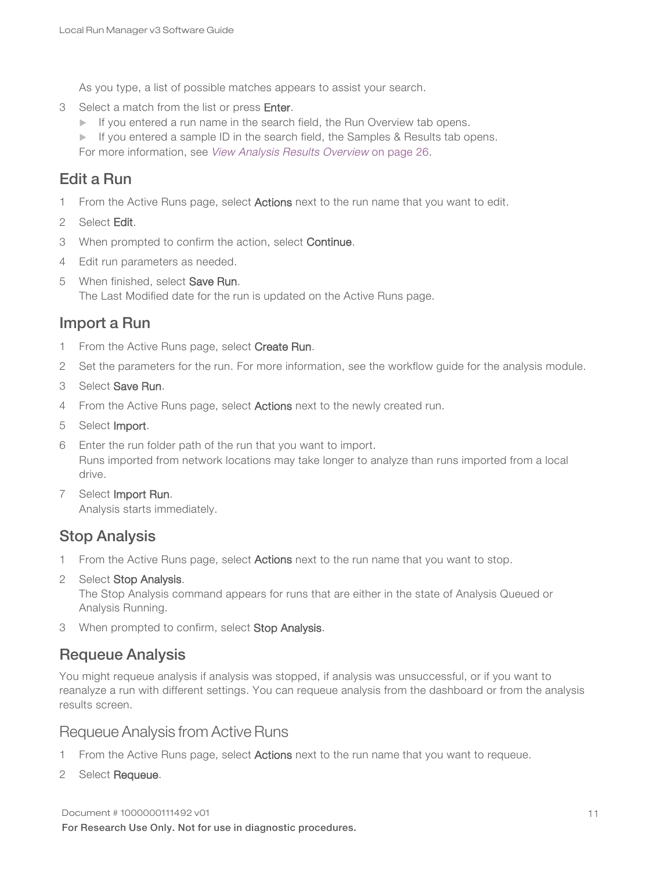As you type, a list of possible matches appears to assist your search.

- 3 Select a match from the list or press Enter.
	- $\blacktriangleright$  If you entered a run name in the search field, the Run Overview tab opens.

 $\blacktriangleright$  If you entered a sample ID in the search field, the Samples & Results tab opens.

For more information, see View [Analysis](#page-25-0) Results Overview on page 26.

### Edit a Run

- 1 From the Active Runs page, select **Actions** next to the run name that you want to edit.
- 2 Select Edit.
- 3 When prompted to confirm the action, select Continue.
- 4 Edit run parameters as needed.
- 5 When finished, select Save Run. The Last Modified date for the run is updated on the Active Runs page.

#### Import a Run

- 1 From the Active Runs page, select Create Run.
- 2 Set the parameters for the run. For more information, see the workflow guide for the analysis module.
- 3 Select Save Run.
- 4 From the Active Runs page, select **Actions** next to the newly created run.
- 5 Select Import.
- 6 Enter the run folder path of the run that you want to import. Runs imported from network locations may take longer to analyze than runs imported from a local drive.
- 7 Select Import Run. Analysis starts immediately.

### Stop Analysis

- 1 From the Active Runs page, select **Actions** next to the run name that you want to stop.
- 2 Select Stop Analysis. The Stop Analysis command appears for runs that are either in the state of Analysis Queued or Analysis Running.
- 3 When prompted to confirm, select Stop Analysis.

#### Requeue Analysis

You might requeue analysis if analysis was stopped, if analysis was unsuccessful, or if you want to reanalyze a run with different settings. You can requeue analysis from the dashboard or from the analysis results screen.

#### Requeue Analysis from Active Runs

- 1 From the Active Runs page, select Actions next to the run name that you want to requeue.
- 2 Select Requeue.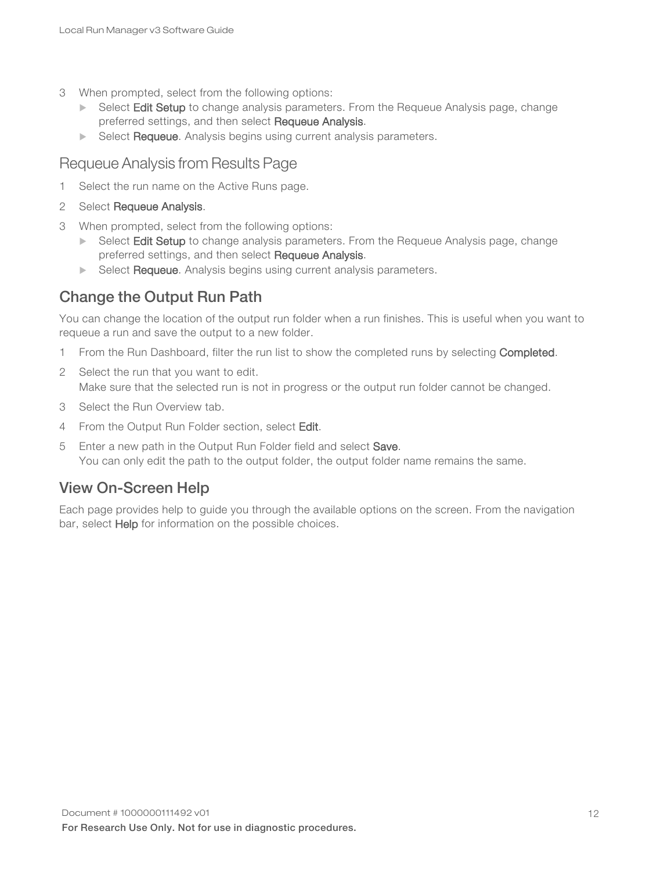- 3 When prompted, select from the following options:
	- $\triangleright$  Select Edit Setup to change analysis parameters. From the Requeue Analysis page, change preferred settings, and then select Requeue Analysis.
	- $\blacktriangleright$  Select Requeue. Analysis begins using current analysis parameters.

### Requeue Analysis from Results Page

- 1 Select the run name on the Active Runs page.
- 2 Select Requeue Analysis.
- 3 When prompted, select from the following options:
	- Select Edit Setup to change analysis parameters. From the Requeue Analysis page, change preferred settings, and then select Requeue Analysis.
	- $\triangleright$  Select **Requeue**. Analysis begins using current analysis parameters.

### Change the Output Run Path

You can change the location of the output run folder when a run finishes. This is useful when you want to requeue a run and save the output to a new folder.

- 1 From the Run Dashboard, filter the run list to show the completed runs by selecting Completed.
- 2 Select the run that you want to edit. Make sure that the selected run is not in progress or the output run folder cannot be changed.
- 3 Select the Run Overview tab.
- 4 From the Output Run Folder section, select Edit.
- 5 Enter a new path in the Output Run Folder field and select Save. You can only edit the path to the output folder, the output folder name remains the same.

### View On-Screen Help

Each page provides help to guide you through the available options on the screen. From the navigation bar, select Help for information on the possible choices.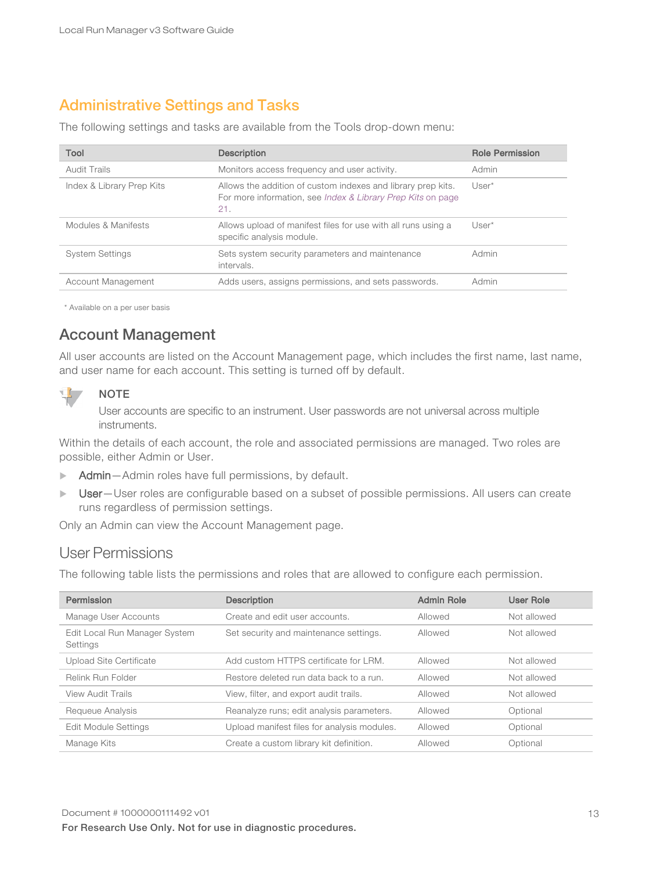### <span id="page-12-0"></span>Administrative Settings and Tasks

The following settings and tasks are available from the Tools drop-down menu:

| Tool                      | <b>Description</b>                                                                                                                            | <b>Role Permission</b> |
|---------------------------|-----------------------------------------------------------------------------------------------------------------------------------------------|------------------------|
| <b>Audit Trails</b>       | Monitors access frequency and user activity.                                                                                                  | Admin                  |
| Index & Library Prep Kits | Allows the addition of custom indexes and library prep kits.<br>For more information, see <i>Index &amp; Library Prep Kits</i> on page<br>21. | $User^*$               |
| Modules & Manifests       | Allows upload of manifest files for use with all runs using a<br>specific analysis module.                                                    | $User^*$               |
| <b>System Settings</b>    | Sets system security parameters and maintenance<br>intervals.                                                                                 | Admin                  |
| Account Management        | Adds users, assigns permissions, and sets passwords.                                                                                          | Admin                  |

\* Available on a per user basis

### Account Management

All user accounts are listed on the Account Management page, which includes the first name, last name, and user name for each account. This setting is turned off by default.



#### NOTE

User accounts are specific to an instrument. User passwords are not universal across multiple instruments.

Within the details of each account, the role and associated permissions are managed. Two roles are possible, either Admin or User.

- Admin-Admin roles have full permissions, by default.
- $\triangleright$  User-User roles are configurable based on a subset of possible permissions. All users can create runs regardless of permission settings.

Only an Admin can view the Account Management page.

### User Permissions

The following table lists the permissions and roles that are allowed to configure each permission.

| Permission                                | <b>Description</b>                          | <b>Admin Role</b> | <b>User Role</b> |
|-------------------------------------------|---------------------------------------------|-------------------|------------------|
| Manage User Accounts                      | Create and edit user accounts.              | Allowed           | Not allowed      |
| Edit Local Run Manager System<br>Settings | Set security and maintenance settings.      | Allowed           | Not allowed      |
| Upload Site Certificate                   | Add custom HTTPS certificate for LRM.       | Allowed           | Not allowed      |
| Relink Run Folder                         | Restore deleted run data back to a run.     | Allowed           | Not allowed      |
| View Audit Trails                         | View, filter, and export audit trails.      | Allowed           | Not allowed      |
| Requeue Analysis                          | Reanalyze runs; edit analysis parameters.   | Allowed           | Optional         |
| <b>Edit Module Settings</b>               | Upload manifest files for analysis modules. | Allowed           | Optional         |
| Manage Kits                               | Create a custom library kit definition.     | Allowed           | Optional         |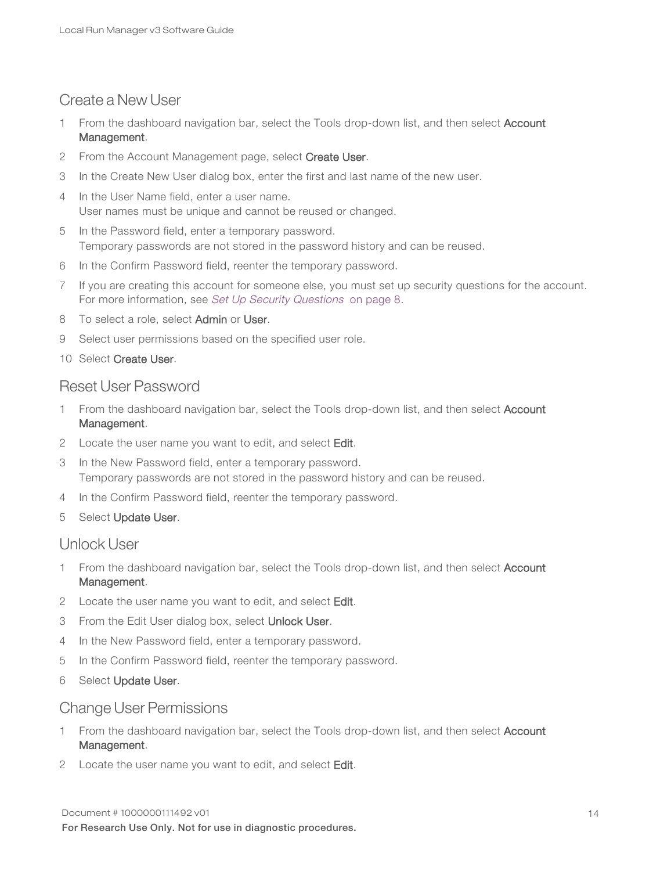### Create a New User

- 1 From the dashboard navigation bar, select the Tools drop-down list, and then select Account Management.
- 2 From the Account Management page, select Create User.
- 3 In the Create New User dialog box, enter the first and last name of the new user.
- 4 In the User Name field, enter a user name. User names must be unique and cannot be reused or changed.
- 5 In the Password field, enter a temporary password. Temporary passwords are not stored in the password history and can be reused.
- 6 In the Confirm Password field, reenter the temporary password.
- 7 If you are creating this account for someone else, you must set up security questions for the account. For more information, see Set Up Security [Questions](#page-7-0) on page 8.
- 8 To select a role, select Admin or User.
- 9 Select user permissions based on the specified user role.
- 10 Select Create User.

#### Reset User Password

- 1 From the dashboard navigation bar, select the Tools drop-down list, and then select Account Management.
- 2 Locate the user name you want to edit, and select Edit.
- 3 In the New Password field, enter a temporary password. Temporary passwords are not stored in the password history and can be reused.
- 4 In the Confirm Password field, reenter the temporary password.
- 5 Select Update User.

#### Unlock User

- 1 From the dashboard navigation bar, select the Tools drop-down list, and then select Account Management.
- 2 Locate the user name you want to edit, and select Edit.
- 3 From the Edit User dialog box, select Unlock User.
- 4 In the New Password field, enter a temporary password.
- 5 In the Confirm Password field, reenter the temporary password.
- 6 Select Update User.

#### Change User Permissions

- 1 From the dashboard navigation bar, select the Tools drop-down list, and then select Account Management.
- 2 Locate the user name you want to edit, and select Edit.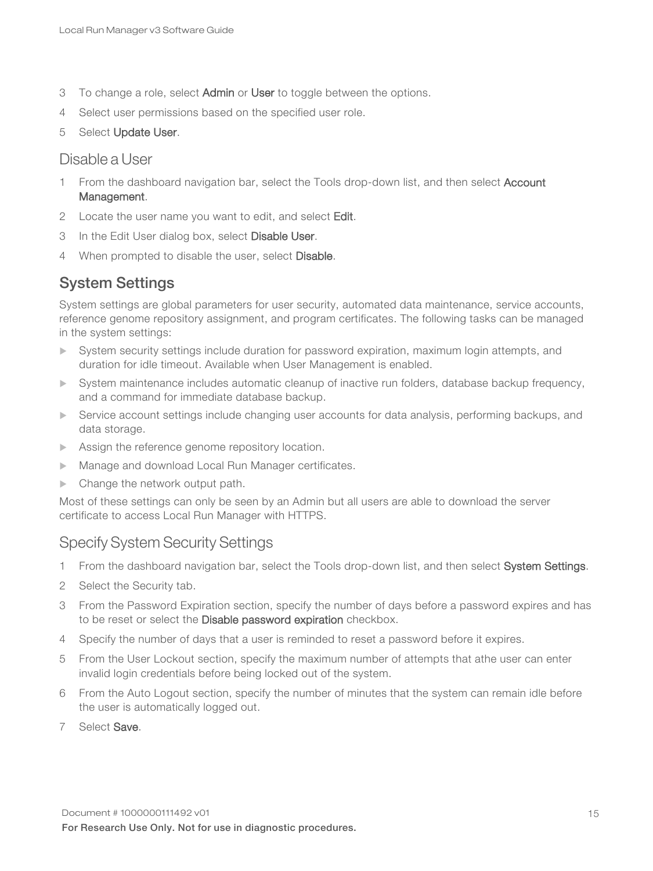- 3 To change a role, select Admin or User to toggle between the options.
- 4 Select user permissions based on the specified user role.
- 5 Select Update User.

#### Disable a User

- 1 From the dashboard navigation bar, select the Tools drop-down list, and then select Account Management.
- 2 Locate the user name you want to edit, and select Edit.
- 3 In the Edit User dialog box, select Disable User.
- 4 When prompted to disable the user, select Disable.

### System Settings

System settings are global parameters for user security, automated data maintenance, service accounts, reference genome repository assignment, and program certificates. The following tasks can be managed in the system settings:

- System security settings include duration for password expiration, maximum login attempts, and duration for idle timeout. Available when User Management is enabled.
- System maintenance includes automatic cleanup of inactive run folders, database backup frequency, and a command for immediate database backup.
- Service account settings include changing user accounts for data analysis, performing backups, and data storage.
- $\blacktriangleright$  Assign the reference genome repository location.
- Manage and download Local Run Manager certificates.
- $\blacktriangleright$  Change the network output path.

Most of these settings can only be seen by an Admin but all users are able to download the server certificate to access Local Run Manager with HTTPS.

### Specify System Security Settings

- 1 From the dashboard navigation bar, select the Tools drop-down list, and then select System Settings.
- 2 Select the Security tab.
- 3 From the Password Expiration section, specify the number of days before a password expires and has to be reset or select the Disable password expiration checkbox.
- 4 Specify the number of days that a user is reminded to reset a password before it expires.
- 5 From the User Lockout section, specify the maximum number of attempts that athe user can enter invalid login credentials before being locked out of the system.
- 6 From the Auto Logout section, specify the number of minutes that the system can remain idle before the user is automatically logged out.
- 7 Select Save.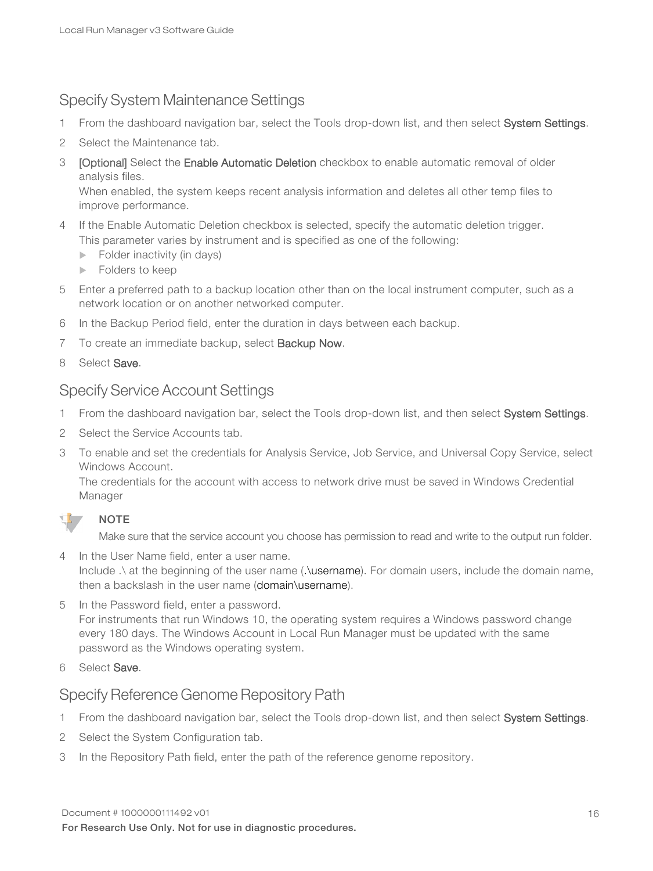### Specify System Maintenance Settings

- 1 From the dashboard navigation bar, select the Tools drop-down list, and then select System Settings.
- 2 Select the Maintenance tab.
- 3 [Optional] Select the Enable Automatic Deletion checkbox to enable automatic removal of older analysis files.

When enabled, the system keeps recent analysis information and deletes all other temp files to improve performance.

- 4 If the Enable Automatic Deletion checkbox is selected, specify the automatic deletion trigger. This parameter varies by instrument and is specified as one of the following:
	- $\blacktriangleright$  Folder inactivity (in days)
	- $\blacktriangleright$  Folders to keep
- 5 Enter a preferred path to a backup location other than on the local instrument computer, such as a network location or on another networked computer.
- 6 In the Backup Period field, enter the duration in days between each backup.
- 7 To create an immediate backup, select **Backup Now**.
- <span id="page-15-0"></span>8 Select Save.

### Specify Service Account Settings

- 1 From the dashboard navigation bar, select the Tools drop-down list, and then select System Settings.
- 2 Select the Service Accounts tab.
- 3 To enable and set the credentials for Analysis Service, Job Service, and Universal Copy Service, select Windows Account.

The credentials for the account with access to network drive must be saved in Windows Credential Manager



Make sure that the service account you choose has permission to read and write to the output run folder.

- 4 In the User Name field, enter a user name. Include .\ at the beginning of the user name (.\username). For domain users, include the domain name, then a backslash in the user name (domain\username).
- 5 In the Password field, enter a password. For instruments that run Windows 10, the operating system requires a Windows password change every 180 days. The Windows Account in Local Run Manager must be updated with the same password as the Windows operating system.
- 6 Select Save.

### Specify Reference Genome Repository Path

- 1 From the dashboard navigation bar, select the Tools drop-down list, and then select System Settings.
- 2 Select the System Configuration tab.
- 3 In the Repository Path field, enter the path of the reference genome repository.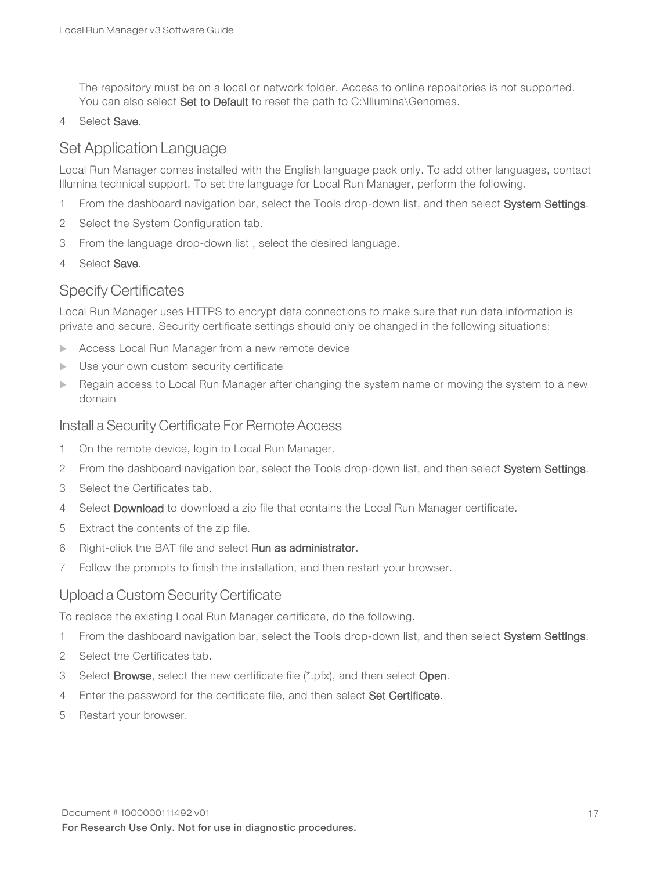The repository must be on a local or network folder. Access to online repositories is not supported. You can also select Set to Default to reset the path to C:\Illumina\Genomes.

4 Select Save.

### Set Application Language

Local Run Manager comes installed with the English language pack only. To add other languages, contact Illumina technical support. To set the language for Local Run Manager, perform the following.

- 1 From the dashboard navigation bar, select the Tools drop-down list, and then select System Settings.
- 2 Select the System Configuration tab.
- 3 From the language drop-down list , select the desired language.
- 4 Select Save.

#### Specify Certificates

Local Run Manager uses HTTPS to encrypt data connections to make sure that run data information is private and secure. Security certificate settings should only be changed in the following situations:

- Access Local Run Manager from a new remote device
- $\blacktriangleright$  Use your own custom security certificate
- Regain access to Local Run Manager after changing the system name or moving the system to a new domain

#### Install a Security Certificate For Remote Access

- 1 On the remote device, login to Local Run Manager.
- 2 From the dashboard navigation bar, select the Tools drop-down list, and then select System Settings.
- 3 Select the Certificates tab.
- 4 Select Download to download a zip file that contains the Local Run Manager certificate.
- 5 Extract the contents of the zip file.
- 6 Right-click the BAT file and select Run as administrator.
- 7 Follow the prompts to finish the installation, and then restart your browser.

#### Upload a Custom Security Certificate

To replace the existing Local Run Manager certificate, do the following.

- 1 From the dashboard navigation bar, select the Tools drop-down list, and then select System Settings.
- 2 Select the Certificates tab.
- 3 Select Browse, select the new certificate file  $(*.pfx)$ , and then select Open.
- 4 Enter the password for the certificate file, and then select Set Certificate.
- 5 Restart your browser.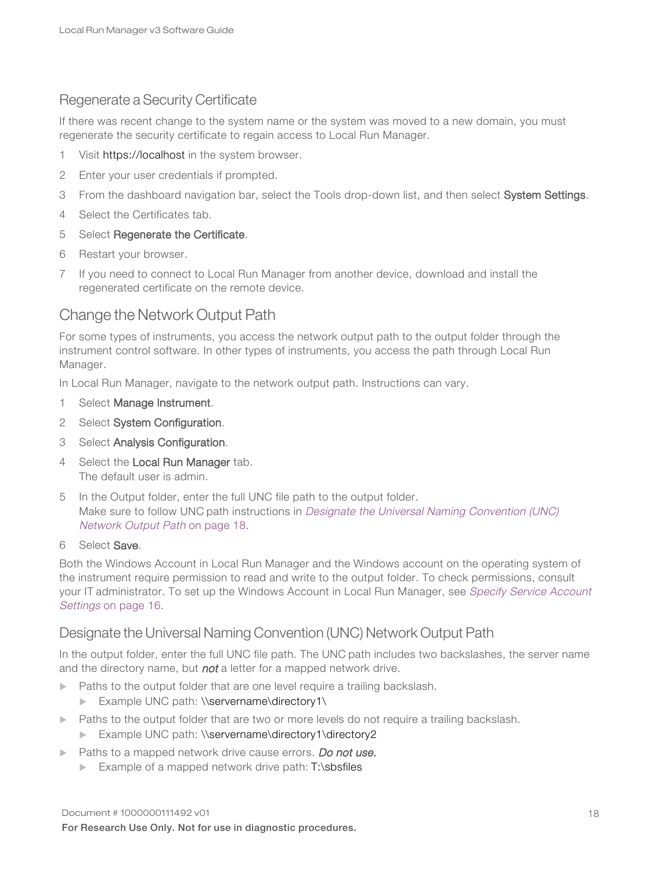### Regenerate a Security Certificate

If there was recent change to the system name or the system was moved to a new domain, you must regenerate the security certificate to regain access to Local Run Manager.

- 1 Visit https://localhost in the system browser.
- 2 Enter your user credentials if prompted.
- 3 From the dashboard navigation bar, select the Tools drop-down list, and then select System Settings.
- 4 Select the Certificates tab.
- 5 Select Regenerate the Certificate.
- 6 Restart your browser.
- 7 If you need to connect to Local Run Manager from another device, download and install the regenerated certificate on the remote device.

### Change the Network Output Path

For some types of instruments, you access the network output path to the output folder through the instrument control software. In other types of instruments, you access the path through Local Run Manager.

In Local Run Manager, navigate to the network output path. Instructions can vary.

- 1 Select Manage Instrument.
- 2 Select System Configuration.
- 3 Select Analysis Configuration.
- 4 Select the Local Run Manager tab. The default user is admin.
- 5 In the Output folder, enter the full UNC file path to the output folder. Make sure to follow UNC path instructions in [Designate](#page-17-0) the Universal Naming Convention (UNC) Network [Output](#page-17-0) Path on page 18.

#### 6 Select Save.

Both the Windows Account in Local Run Manager and the Windows account on the operating system of the instrument require permission to read and write to the output folder. To check permissions, consult your IT administrator. To set up the Windows Account in Local Run Manager, see [Specify](#page-15-0) Service Account [Settings](#page-15-0) on page 16.

#### <span id="page-17-0"></span>Designate the Universal Naming Convention (UNC) Network Output Path

In the output folder, enter the full UNC file path. The UNC path includes two backslashes, the server name and the directory name, but not a letter for a mapped network drive.

- Paths to the output folder that are one level require a trailing backslash.
	- Example UNC path: \\servername\directory1\
- Paths to the output folder that are two or more levels do not require a trailing backslash.
	- ▶ Example UNC path: \\servername\directory1\directory2
- Paths to a mapped network drive cause errors. Do not use.
	- Example of a mapped network drive path:  $T:\s$ bsfiles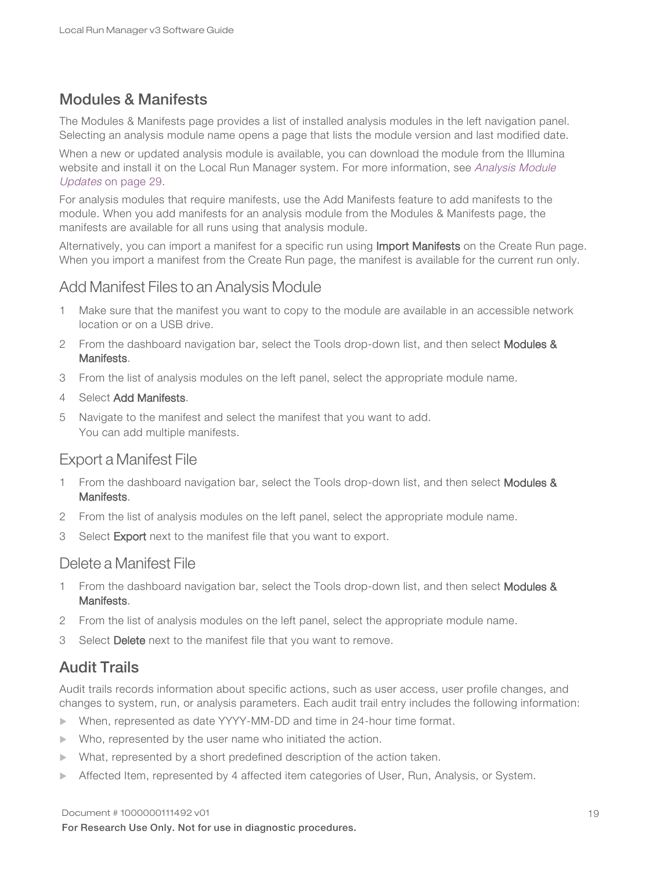### Modules & Manifests

The Modules & Manifests page provides a list of installed analysis modules in the left navigation panel. Selecting an analysis module name opens a page that lists the module version and last modified date.

When a new or updated analysis module is available, you can download the module from the Illumina website and install it on the Local Run Manager system. For more information, see [Analysis](#page-28-0) Module [Updates](#page-28-0) on page 29.

For analysis modules that require manifests, use the Add Manifests feature to add manifests to the module. When you add manifests for an analysis module from the Modules & Manifests page, the manifests are available for all runs using that analysis module.

<span id="page-18-0"></span>Alternatively, you can import a manifest for a specific run using Import Manifests on the Create Run page. When you import a manifest from the Create Run page, the manifest is available for the current run only.

#### Add Manifest Files to an Analysis Module

- 1 Make sure that the manifest you want to copy to the module are available in an accessible network location or on a USB drive.
- 2 From the dashboard navigation bar, select the Tools drop-down list, and then select Modules & Manifests.
- 3 From the list of analysis modules on the left panel, select the appropriate module name.
- 4 Select Add Manifests.
- 5 Navigate to the manifest and select the manifest that you want to add. You can add multiple manifests.

#### Export a Manifest File

- 1 From the dashboard navigation bar, select the Tools drop-down list, and then select Modules & Manifests.
- 2 From the list of analysis modules on the left panel, select the appropriate module name.
- 3 Select Export next to the manifest file that you want to export.

#### Delete a Manifest File

- 1 From the dashboard navigation bar, select the Tools drop-down list, and then select Modules & Manifests.
- 2 From the list of analysis modules on the left panel, select the appropriate module name.
- 3 Select Delete next to the manifest file that you want to remove.

### Audit Trails

Audit trails records information about specific actions, such as user access, user profile changes, and changes to system, run, or analysis parameters. Each audit trail entry includes the following information:

- ▶ When, represented as date YYYY-MM-DD and time in 24-hour time format.
- $\blacktriangleright$  Who, represented by the user name who initiated the action.
- What, represented by a short predefined description of the action taken.
- **EXECTED Affected Item, represented by 4 affected item categories of User, Run, Analysis, or System.**

#### Document # 1000000111492 v01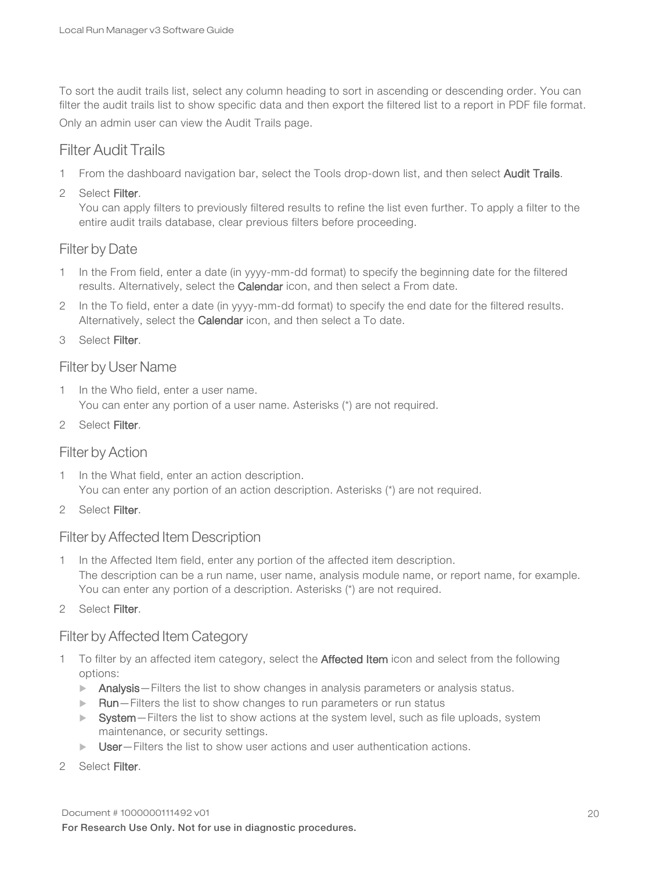To sort the audit trails list, select any column heading to sort in ascending or descending order. You can filter the audit trails list to show specific data and then export the filtered list to a report in PDF file format.

Only an admin user can view the Audit Trails page.

### Filter Audit Trails

- 1 From the dashboard navigation bar, select the Tools drop-down list, and then select Audit Trails.
- 2 Select Filter.

You can apply filters to previously filtered results to refine the list even further. To apply a filter to the entire audit trails database, clear previous filters before proceeding.

#### Filter by Date

- 1 In the From field, enter a date (in yyyy-mm-dd format) to specify the beginning date for the filtered results. Alternatively, select the Calendar icon, and then select a From date.
- In the To field, enter a date (in yyyy-mm-dd format) to specify the end date for the filtered results. Alternatively, select the Calendar icon, and then select a To date.

3 Select Filter.

#### Filter by User Name

1 In the Who field, enter a user name. You can enter any portion of a user name. Asterisks (\*) are not required.

2 Select Filter.

#### Filter by Action

- 1 In the What field, enter an action description. You can enter any portion of an action description. Asterisks (\*) are not required.
- 2 Select Filter.

#### Filter by Affected Item Description

- 1 In the Affected Item field, enter any portion of the affected item description. The description can be a run name, user name, analysis module name, or report name, for example. You can enter any portion of a description. Asterisks (\*) are not required.
- 2 Select Filter.

#### Filter by Affected Item Category

- 1 To filter by an affected item category, select the Affected Item icon and select from the following options:
	- $\blacktriangleright$  Analysis Filters the list to show changes in analysis parameters or analysis status.
	- $\blacktriangleright$  Run-Filters the list to show changes to run parameters or run status
	- $\triangleright$  System—Filters the list to show actions at the system level, such as file uploads, system maintenance, or security settings.
	- $\triangleright$  User Filters the list to show user actions and user authentication actions.
- 2 Select Filter.

Document # 1000000111492 v01 For Research Use Only. Not for use in diagnostic procedures.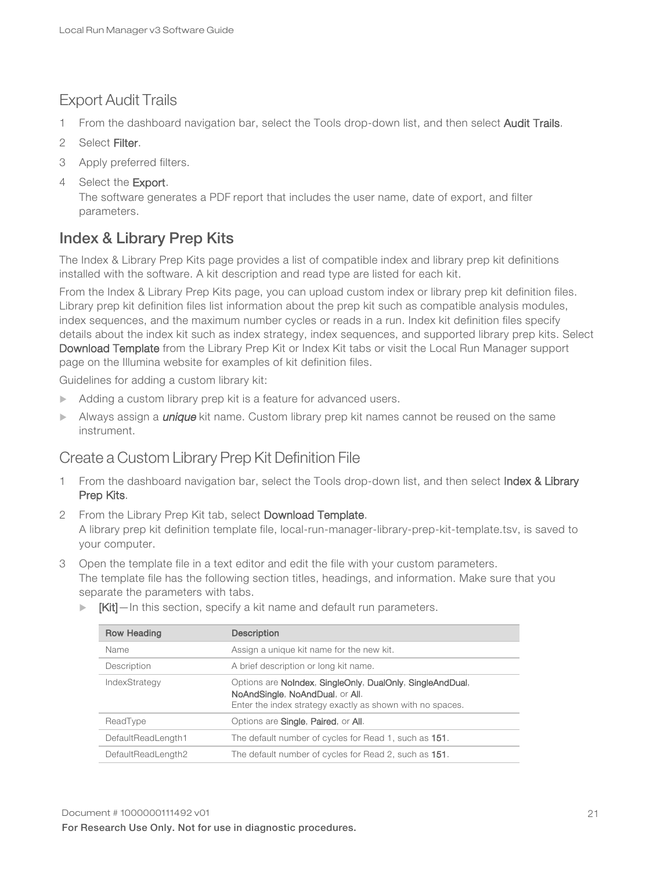### Export Audit Trails

- 1 From the dashboard navigation bar, select the Tools drop-down list, and then select Audit Trails.
- 2 Select Filter.
- 3 Apply preferred filters.
- 4 Select the **Export**.

The software generates a PDF report that includes the user name, date of export, and filter parameters.

### <span id="page-20-0"></span>Index & Library Prep Kits

The Index & Library Prep Kits page provides a list of compatible index and library prep kit definitions installed with the software. A kit description and read type are listed for each kit.

From the Index & Library Prep Kits page, you can upload custom index or library prep kit definition files. Library prep kit definition files list information about the prep kit such as compatible analysis modules, index sequences, and the maximum number cycles or reads in a run. Index kit definition files specify details about the index kit such as index strategy, index sequences, and supported library prep kits. Select Download Template from the Library Prep Kit or Index Kit tabs or visit the Local Run Manager support page on the Illumina website for examples of kit definition files.

Guidelines for adding a custom library kit:

- $\blacktriangleright$  Adding a custom library prep kit is a feature for advanced users.
- Always assign a *unique* kit name. Custom library prep kit names cannot be reused on the same instrument.

### Create a Custom Library Prep Kit Definition File

- 1 From the dashboard navigation bar, select the Tools drop-down list, and then select Index & Library Prep Kits.
- 2 From the Library Prep Kit tab, select Download Template. A library prep kit definition template file, local-run-manager-library-prep-kit-template.tsv, is saved to your computer.
- 3 Open the template file in a text editor and edit the file with your custom parameters. The template file has the following section titles, headings, and information. Make sure that you separate the parameters with tabs.
	- $\blacktriangleright$   $[Kit]$  In this section, specify a kit name and default run parameters.

| <b>Row Heading</b> | <b>Description</b>                                                                                                                                        |
|--------------------|-----------------------------------------------------------------------------------------------------------------------------------------------------------|
| Name               | Assign a unique kit name for the new kit.                                                                                                                 |
| Description        | A brief description or long kit name.                                                                                                                     |
| IndexStrategy      | Options are NoIndex, SingleOnly, DualOnly, SingleAndDual,<br>NoAndSingle, NoAndDual, or All.<br>Enter the index strategy exactly as shown with no spaces. |
| ReadType           | Options are <b>Single, Paired</b> , or <b>All.</b>                                                                                                        |
| DefaultReadLength1 | The default number of cycles for Read 1, such as 151.                                                                                                     |
| DefaultReadLength2 | The default number of cycles for Read 2, such as 151.                                                                                                     |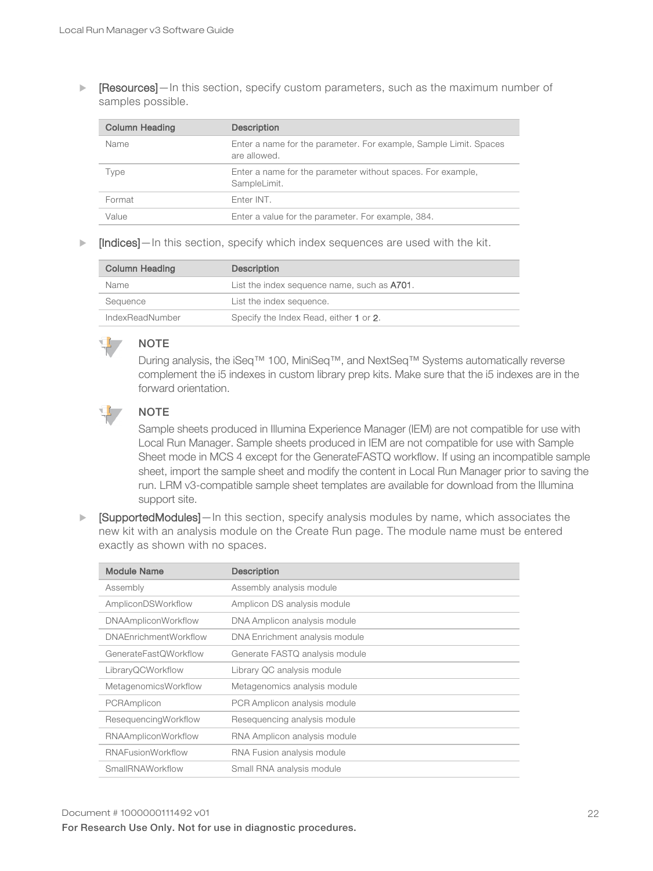**Example 3** [Resources]—In this section, specify custom parameters, such as the maximum number of samples possible.

| <b>Column Heading</b> | <b>Description</b>                                                                |
|-----------------------|-----------------------------------------------------------------------------------|
| Name                  | Enter a name for the parameter. For example, Sample Limit. Spaces<br>are allowed. |
| Type                  | Enter a name for the parameter without spaces. For example,<br>SampleLimit.       |
| Format                | Enter INT.                                                                        |
| Value                 | Enter a value for the parameter. For example, 384.                                |

 $\blacktriangleright$  [Indices]—In this section, specify which index sequences are used with the kit.

| <b>Column Heading</b> | <b>Description</b>                          |
|-----------------------|---------------------------------------------|
| Name                  | List the index sequence name, such as A701. |
| Seauence              | List the index sequence.                    |
| IndexReadNumber       | Specify the Index Read, either 1 or 2.      |

During analysis, the iSeq™ 100, MiniSeq™, and NextSeq™ Systems automatically reverse complement the i5 indexes in custom library prep kits. Make sure that the i5 indexes are in the forward orientation.



#### NOTE

**NOTE** 

Sample sheets produced in Illumina Experience Manager (IEM) are not compatible for use with Local Run Manager. Sample sheets produced in IEM are not compatible for use with Sample Sheet mode in MCS 4 except for the GenerateFASTQ workflow. If using an incompatible sample sheet, import the sample sheet and modify the content in Local Run Manager prior to saving the run. LRM v3-compatible sample sheet templates are available for download from the Illumina support site.

 $\blacktriangleright$  [SupportedModules]—In this section, specify analysis modules by name, which associates the new kit with an analysis module on the Create Run page. The module name must be entered exactly as shown with no spaces.

| <b>Module Name</b>           | <b>Description</b>             |
|------------------------------|--------------------------------|
| Assembly                     | Assembly analysis module       |
| AmpliconDSWorkflow           | Amplicon DS analysis module    |
| <b>DNAAmpliconWorkflow</b>   | DNA Amplicon analysis module   |
| <b>DNAEnrichmentWorkflow</b> | DNA Enrichment analysis module |
| GenerateFastQWorkflow        | Generate FASTQ analysis module |
| LibraryQCWorkflow            | Library QC analysis module     |
| MetagenomicsWorkflow         | Metagenomics analysis module   |
| PCRAmplicon                  | PCR Amplicon analysis module   |
| ResequencingWorkflow         | Resequencing analysis module   |
| <b>RNAAmpliconWorkflow</b>   | RNA Amplicon analysis module   |
| <b>RNAFusionWorkflow</b>     | RNA Fusion analysis module     |
| SmallRNAWorkflow             | Small RNA analysis module      |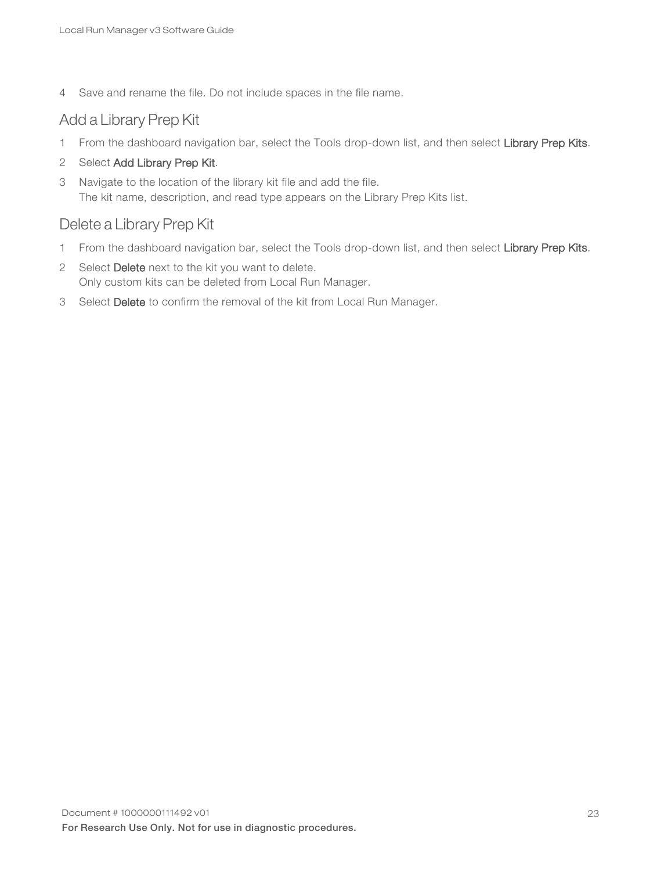4 Save and rename the file. Do not include spaces in the file name.

### Add a Library Prep Kit

- 1 From the dashboard navigation bar, select the Tools drop-down list, and then select Library Prep Kits.
- 2 Select Add Library Prep Kit.
- 3 Navigate to the location of the library kit file and add the file. The kit name, description, and read type appears on the Library Prep Kits list.

### Delete a Library Prep Kit

- 1 From the dashboard navigation bar, select the Tools drop-down list, and then select Library Prep Kits.
- 2 Select Delete next to the kit you want to delete. Only custom kits can be deleted from Local Run Manager.
- 3 Select Delete to confirm the removal of the kit from Local Run Manager.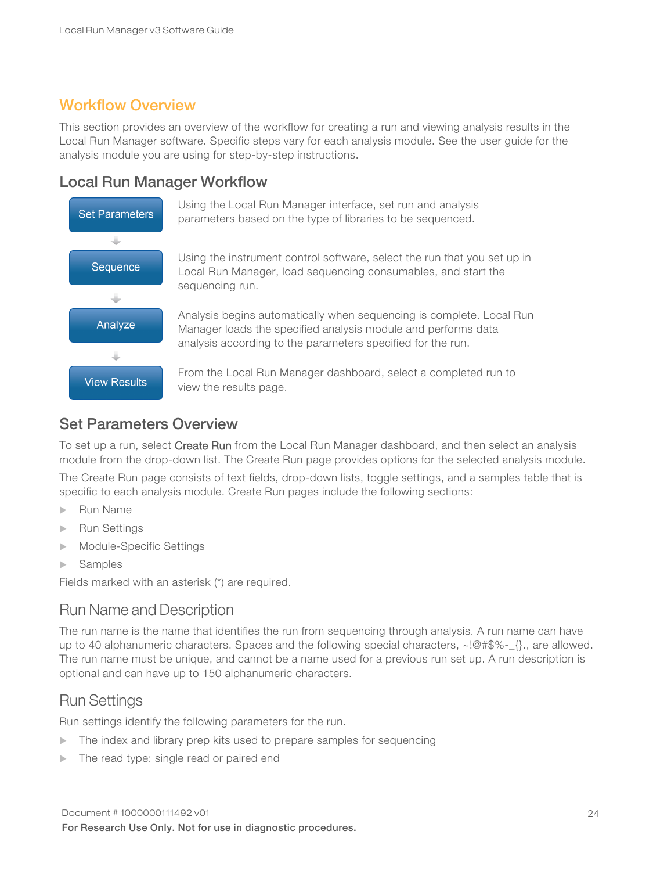### <span id="page-23-0"></span>Workflow Overview

This section provides an overview of the workflow for creating a run and viewing analysis results in the Local Run Manager software. Specific steps vary for each analysis module. See the user guide for the analysis module you are using for step-by-step instructions.

### Local Run Manager Workflow



Using the Local Run Manager interface, set run and analysis parameters based on the type of libraries to be sequenced.

Using the instrument control software, select the run that you set up in Local Run Manager, load sequencing consumables, and start the sequencing run.

Analysis begins automatically when sequencing is complete. Local Run Manager loads the specified analysis module and performs data analysis according to the parameters specified for the run.

From the Local Run Manager dashboard, select a completed run to view the results page.

### Set Parameters Overview

To set up a run, select Create Run from the Local Run Manager dashboard, and then select an analysis module from the drop-down list. The Create Run page provides options for the selected analysis module.

The Create Run page consists of text fields, drop-down lists, toggle settings, and a samples table that is specific to each analysis module. Create Run pages include the following sections:

- $\blacktriangleright$  Run Name
- **Run Settings**
- $\blacktriangleright$  Module-Specific Settings
- $\blacktriangleright$  Samples

Fields marked with an asterisk (\*) are required.

### Run Name and Description

The run name is the name that identifies the run from sequencing through analysis. A run name can have up to 40 alphanumeric characters. Spaces and the following special characters, ~!@#\$%-\_{}., are allowed. The run name must be unique, and cannot be a name used for a previous run set up. A run description is optional and can have up to 150 alphanumeric characters.

### Run Settings

Run settings identify the following parameters for the run.

- $\blacktriangleright$  The index and library prep kits used to prepare samples for sequencing
- The read type: single read or paired end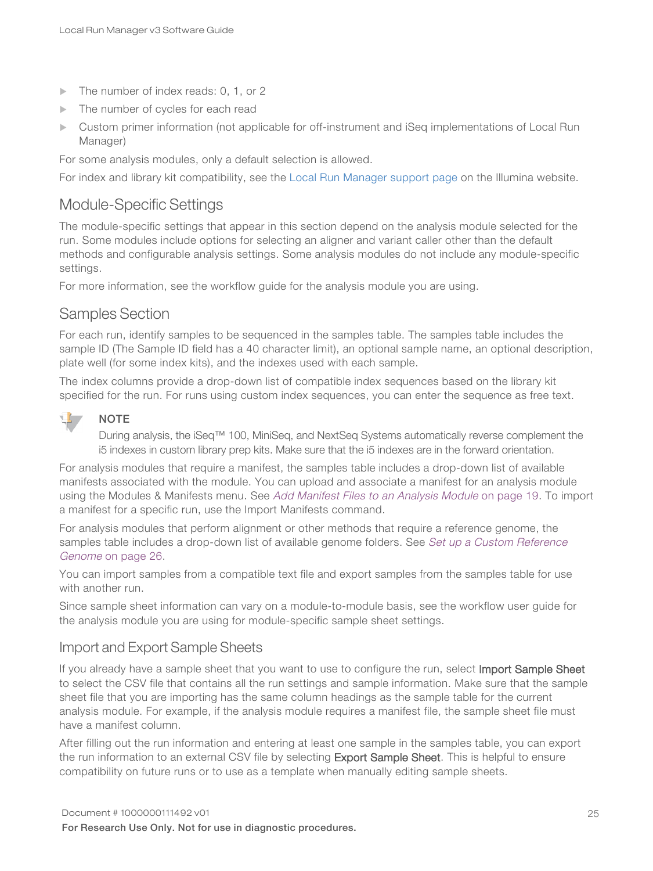- The number of index reads: 0, 1, or 2
- $\blacktriangleright$  The number of cycles for each read
- u Custom primer information (not applicable for off-instrument and iSeq implementations of Local Run Manager)

For some analysis modules, only a default selection is allowed.

For index and library kit compatibility, see the Local Run [Manager](http://support.illumina.com/sequencing/sequencing_software/local-run-manager.html) support page on the Illumina website.

### Module-Specific Settings

The module-specific settings that appear in this section depend on the analysis module selected for the run. Some modules include options for selecting an aligner and variant caller other than the default methods and configurable analysis settings. Some analysis modules do not include any module-specific settings.

For more information, see the workflow guide for the analysis module you are using.

### Samples Section

For each run, identify samples to be sequenced in the samples table. The samples table includes the sample ID (The Sample ID field has a 40 character limit), an optional sample name, an optional description, plate well (for some index kits), and the indexes used with each sample.

The index columns provide a drop-down list of compatible index sequences based on the library kit specified for the run. For runs using custom index sequences, you can enter the sequence as free text.



#### NOTE

During analysis, the iSeq™ 100, MiniSeq, and NextSeq Systems automatically reverse complement the i5 indexes in custom library prep kits. Make sure that the i5 indexes are in the forward orientation.

For analysis modules that require a manifest, the samples table includes a drop-down list of available manifests associated with the module. You can upload and associate a manifest for an analysis module using the Modules & Manifests menu. See Add Manifest Files to an [Analysis](#page-18-0) Module on page 19. To import a manifest for a specific run, use the Import Manifests command.

For analysis modules that perform alignment or other methods that require a reference genome, the samples table includes a drop-down list of available genome folders. See Set up a Custom [Reference](#page-25-1) [Genome](#page-25-1) on page 26.

You can import samples from a compatible text file and export samples from the samples table for use with another run.

Since sample sheet information can vary on a module-to-module basis, see the workflow user guide for the analysis module you are using for module-specific sample sheet settings.

#### Import and Export Sample Sheets

If you already have a sample sheet that you want to use to configure the run, select Import Sample Sheet to select the CSV file that contains all the run settings and sample information. Make sure that the sample sheet file that you are importing has the same column headings as the sample table for the current analysis module. For example, if the analysis module requires a manifest file, the sample sheet file must have a manifest column.

After filling out the run information and entering at least one sample in the samples table, you can export the run information to an external CSV file by selecting **Export Sample Sheet**. This is helpful to ensure compatibility on future runs or to use as a template when manually editing sample sheets.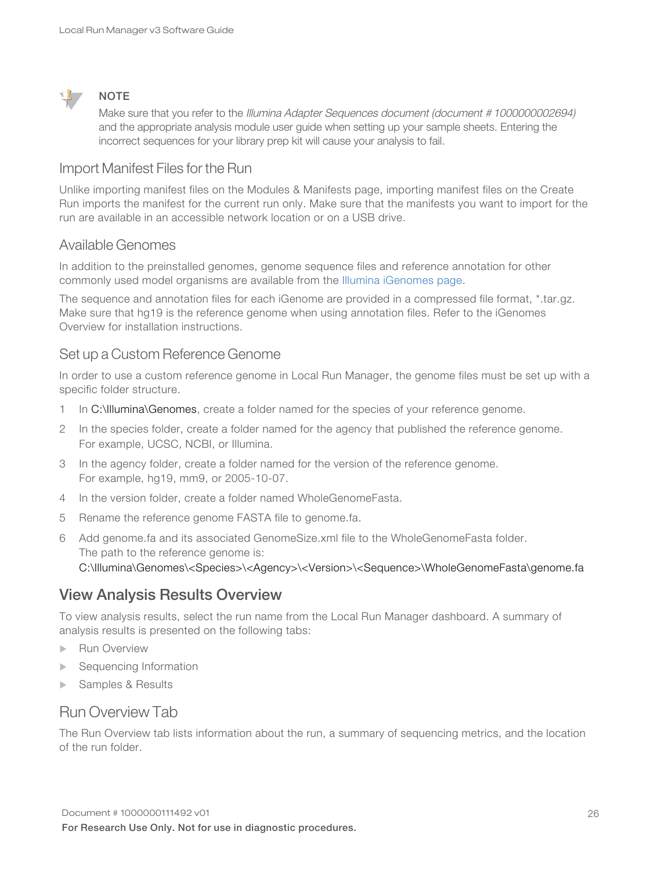

#### **NOTE**

Make sure that you refer to the Illumina Adapter Sequences document (document #1000000002694) and the appropriate analysis module user guide when setting up your sample sheets. Entering the incorrect sequences for your library prep kit will cause your analysis to fail.

### Import Manifest Files for the Run

Unlike importing manifest files on the Modules & Manifests page, importing manifest files on the Create Run imports the manifest for the current run only. Make sure that the manifests you want to import for the run are available in an accessible network location or on a USB drive.

#### Available Genomes

In addition to the preinstalled genomes, genome sequence files and reference annotation for other commonly used model organisms are available from the Illumina [iGenomes](https://support.illumina.com/sequencing/sequencing_software/igenome.html) page.

The sequence and annotation files for each iGenome are provided in a compressed file format, \*.tar.gz. Make sure that hg19 is the reference genome when using annotation files. Refer to the iGenomes Overview for installation instructions.

#### <span id="page-25-1"></span>Set up a Custom Reference Genome

In order to use a custom reference genome in Local Run Manager, the genome files must be set up with a specific folder structure.

- 1 In C:\Illumina\Genomes, create a folder named for the species of your reference genome.
- 2 In the species folder, create a folder named for the agency that published the reference genome. For example, UCSC, NCBI, or Illumina.
- 3 In the agency folder, create a folder named for the version of the reference genome. For example, hg19, mm9, or 2005-10-07.
- 4 In the version folder, create a folder named WholeGenomeFasta.
- 5 Rename the reference genome FASTA file to genome.fa.
- 6 Add genome.fa and its associated GenomeSize.xml file to the WholeGenomeFasta folder. The path to the reference genome is: C:\Illumina\Genomes\<Species>\<Agency>\<Version>\<Sequence>\WholeGenomeFasta\genome.fa

### <span id="page-25-0"></span>View Analysis Results Overview

To view analysis results, select the run name from the Local Run Manager dashboard. A summary of analysis results is presented on the following tabs:

- **Run Overview**
- Sequencing Information
- Samples & Results

### Run Overview Tab

The Run Overview tab lists information about the run, a summary of sequencing metrics, and the location of the run folder.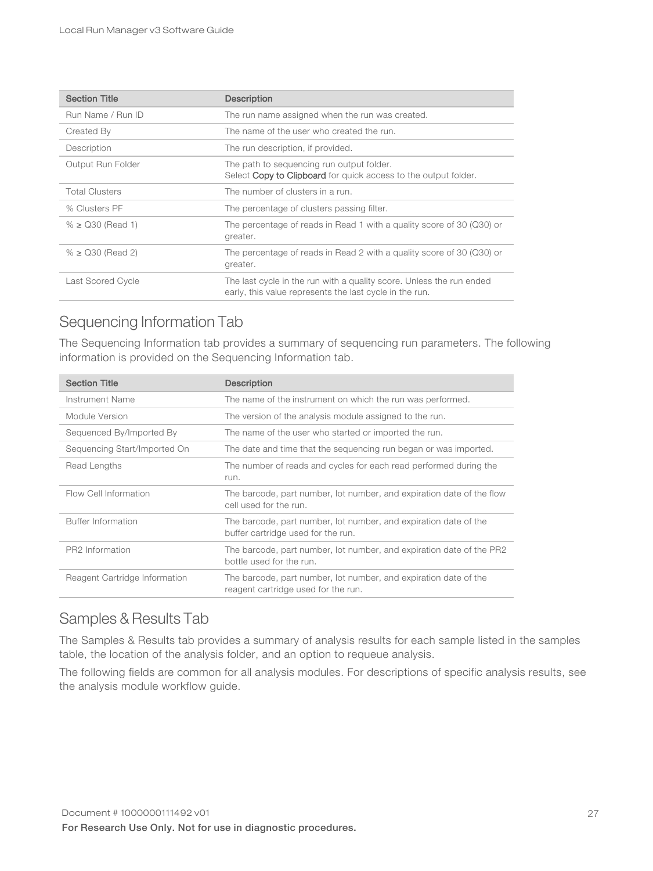| <b>Section Title</b>  | <b>Description</b>                                                                                                              |
|-----------------------|---------------------------------------------------------------------------------------------------------------------------------|
| Run Name / Run ID     | The run name assigned when the run was created.                                                                                 |
| Created By            | The name of the user who created the run.                                                                                       |
| Description           | The run description, if provided.                                                                                               |
| Output Run Folder     | The path to sequencing run output folder.<br>Select Copy to Clipboard for quick access to the output folder.                    |
| <b>Total Clusters</b> | The number of clusters in a run.                                                                                                |
| % Clusters PF         | The percentage of clusters passing filter.                                                                                      |
| $% \geq$ Q30 (Read 1) | The percentage of reads in Read 1 with a quality score of 30 (Q30) or<br>greater.                                               |
| $% \geq$ Q30 (Read 2) | The percentage of reads in Read 2 with a quality score of 30 (Q30) or<br>greater.                                               |
| Last Scored Cycle     | The last cycle in the run with a quality score. Unless the run ended<br>early, this value represents the last cycle in the run. |

### Sequencing Information Tab

The Sequencing Information tab provides a summary of sequencing run parameters. The following information is provided on the Sequencing Information tab.

| <b>Section Title</b>          | <b>Description</b>                                                                                      |
|-------------------------------|---------------------------------------------------------------------------------------------------------|
| Instrument Name               | The name of the instrument on which the run was performed.                                              |
| Module Version                | The version of the analysis module assigned to the run.                                                 |
| Sequenced By/Imported By      | The name of the user who started or imported the run.                                                   |
| Sequencing Start/Imported On  | The date and time that the sequencing run began or was imported.                                        |
| Read Lengths                  | The number of reads and cycles for each read performed during the<br>run.                               |
| Flow Cell Information         | The barcode, part number, lot number, and expiration date of the flow<br>cell used for the run.         |
| Buffer Information            | The barcode, part number, lot number, and expiration date of the<br>buffer cartridge used for the run.  |
| PR2 Information               | The barcode, part number, lot number, and expiration date of the PR2<br>bottle used for the run.        |
| Reagent Cartridge Information | The barcode, part number, lot number, and expiration date of the<br>reagent cartridge used for the run. |

### Samples & Results Tab

The Samples & Results tab provides a summary of analysis results for each sample listed in the samples table, the location of the analysis folder, and an option to requeue analysis.

The following fields are common for all analysis modules. For descriptions of specific analysis results, see the analysis module workflow guide.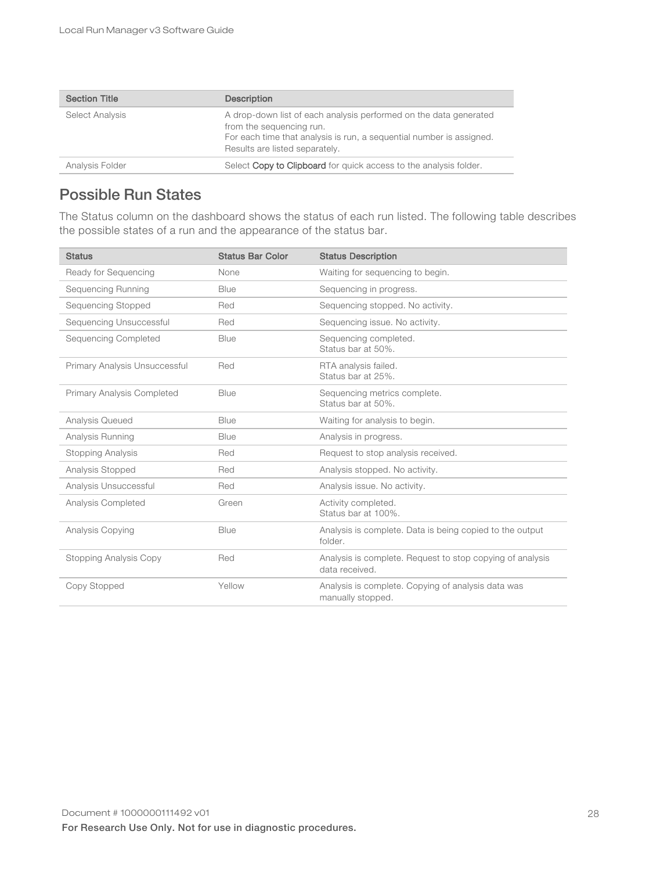| <b>Section Title</b> | <b>Description</b>                                                                                                                                                                                      |
|----------------------|---------------------------------------------------------------------------------------------------------------------------------------------------------------------------------------------------------|
| Select Analysis      | A drop-down list of each analysis performed on the data generated<br>from the sequencing run.<br>For each time that analysis is run, a sequential number is assigned.<br>Results are listed separately. |
| Analysis Folder      | Select Copy to Clipboard for quick access to the analysis folder.                                                                                                                                       |

### <span id="page-27-0"></span>Possible Run States

The Status column on the dashboard shows the status of each run listed. The following table describes the possible states of a run and the appearance of the status bar.

| <b>Status</b>                     | <b>Status Bar Color</b> | <b>Status Description</b>                                                   |
|-----------------------------------|-------------------------|-----------------------------------------------------------------------------|
| Ready for Sequencing              | None                    | Waiting for sequencing to begin.                                            |
| Sequencing Running                | <b>Blue</b>             | Sequencing in progress.                                                     |
| Sequencing Stopped                | Red                     | Sequencing stopped. No activity.                                            |
| Sequencing Unsuccessful           | Red                     | Sequencing issue. No activity.                                              |
| <b>Sequencing Completed</b>       | Blue                    | Sequencing completed.<br>Status bar at 50%.                                 |
| Primary Analysis Unsuccessful     | Red                     | RTA analysis failed.<br>Status bar at 25%.                                  |
| <b>Primary Analysis Completed</b> | <b>Blue</b>             | Sequencing metrics complete.<br>Status bar at 50%.                          |
| Analysis Queued                   | Blue                    | Waiting for analysis to begin.                                              |
| Analysis Running                  | Blue                    | Analysis in progress.                                                       |
| Stopping Analysis                 | Red                     | Request to stop analysis received.                                          |
| Analysis Stopped                  | Red                     | Analysis stopped. No activity.                                              |
| Analysis Unsuccessful             | Red                     | Analysis issue. No activity.                                                |
| Analysis Completed                | Green                   | Activity completed.<br>Status bar at 100%.                                  |
| Analysis Copying                  | Blue                    | Analysis is complete. Data is being copied to the output<br>folder.         |
| Stopping Analysis Copy            | Red                     | Analysis is complete. Request to stop copying of analysis<br>data received. |
| Copy Stopped                      | Yellow                  | Analysis is complete. Copying of analysis data was<br>manually stopped.     |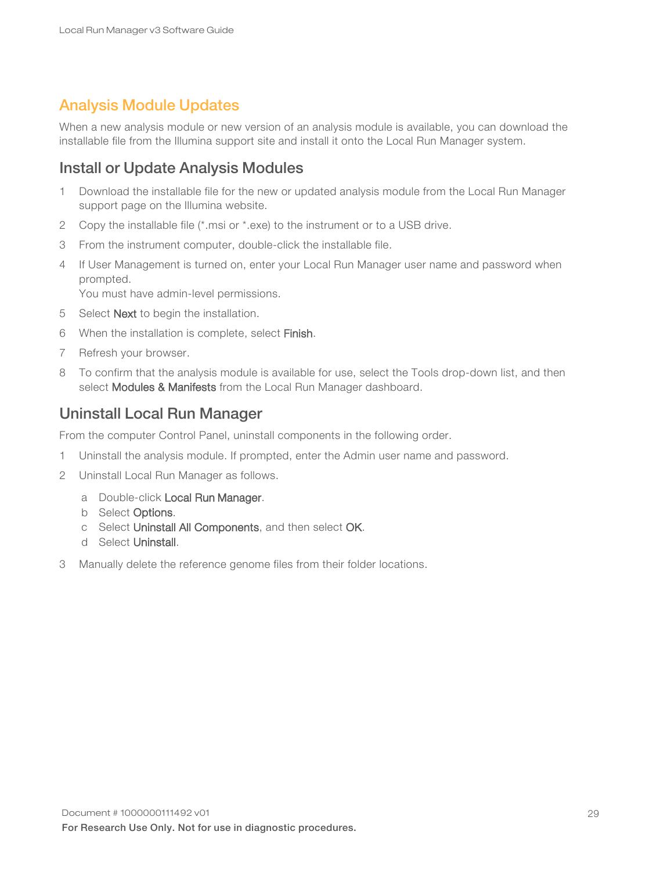### <span id="page-28-0"></span>Analysis Module Updates

When a new analysis module or new version of an analysis module is available, you can download the installable file from the Illumina support site and install it onto the Local Run Manager system.

### Install or Update Analysis Modules

- 1 Download the installable file for the new or updated analysis module from the Local Run Manager support page on the Illumina website.
- 2 Copy the installable file (\*.msi or \*.exe) to the instrument or to a USB drive.
- 3 From the instrument computer, double-click the installable file.
- 4 If User Management is turned on, enter your Local Run Manager user name and password when prompted.

You must have admin-level permissions.

- 5 Select **Next** to begin the installation.
- 6 When the installation is complete, select Finish.
- 7 Refresh your browser.
- 8 To confirm that the analysis module is available for use, select the Tools drop-down list, and then select Modules & Manifests from the Local Run Manager dashboard.

### Uninstall Local Run Manager

From the computer Control Panel, uninstall components in the following order.

- 1 Uninstall the analysis module. If prompted, enter the Admin user name and password.
- 2 Uninstall Local Run Manager as follows.
	- a Double-click Local Run Manager.
	- b Select Options.
	- c Select Uninstall All Components, and then select OK.
	- d Select Uninstall.
- 3 Manually delete the reference genome files from their folder locations.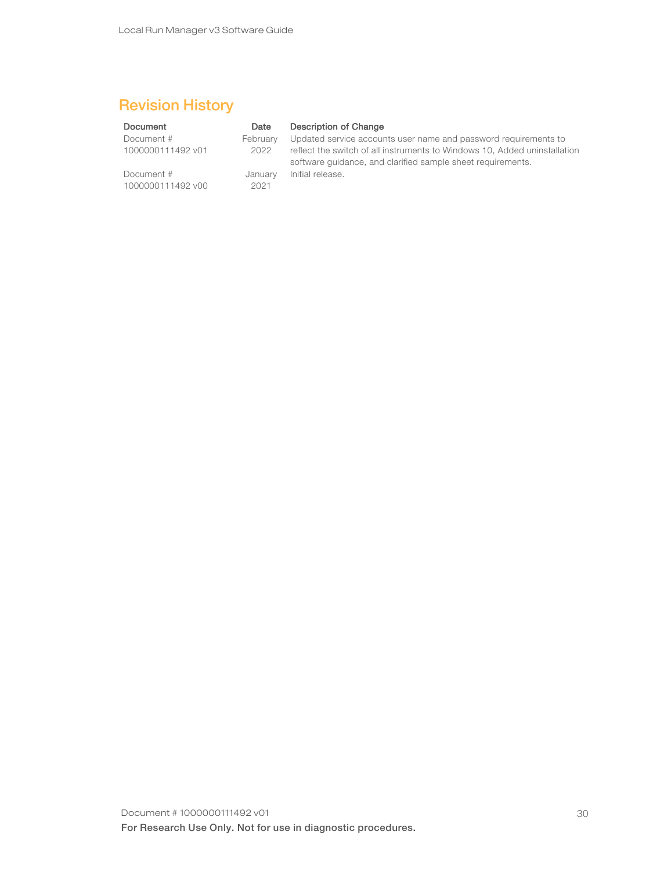## <span id="page-29-0"></span>Revision History

#### Document Date Description of Change Document # 1000000111492 v01 February 2022 Updated service accounts user name and password requirements to reflect the switch of all instruments to Windows 10, Added uninstallation software guidance, and clarified sample sheet requirements. Document # 1000000111492 v00 January 2021 Initial release.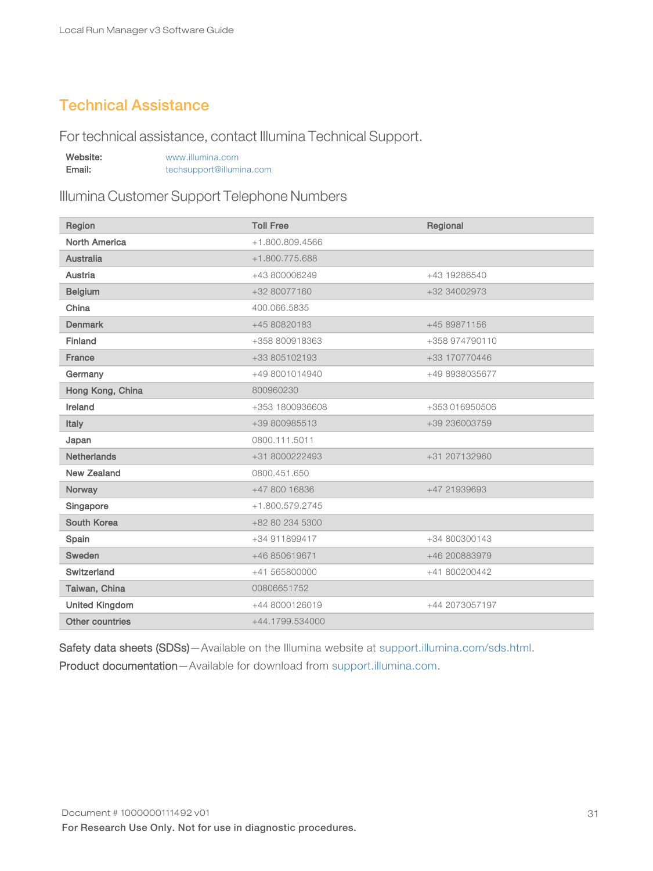### <span id="page-30-0"></span>Technical Assistance

For technical assistance, contact Illumina Technical Support.

| Website: | www.illumina.com         |
|----------|--------------------------|
| Email:   | techsupport@illumina.com |

Illumina Customer Support Telephone Numbers

| Region                | <b>Toll Free</b> | Regional       |
|-----------------------|------------------|----------------|
| <b>North America</b>  | +1.800.809.4566  |                |
| <b>Australia</b>      | +1.800.775.688   |                |
| Austria               | +43 800006249    | +43 19286540   |
| <b>Belgium</b>        | +32 80077160     | +32 34002973   |
| China                 | 400.066.5835     |                |
| <b>Denmark</b>        | +45 80820183     | +45 89871156   |
| Finland               | +358 800918363   | +358 974790110 |
| France                | +33 805102193    | +33 170770446  |
| Germany               | +49 8001014940   | +49 8938035677 |
| Hong Kong, China      | 800960230        |                |
| Ireland               | +353 1800936608  | +353 016950506 |
| Italy                 | +39 800985513    | +39 236003759  |
| Japan                 | 0800.111.5011    |                |
| <b>Netherlands</b>    | +31 8000222493   | +31 207132960  |
| <b>New Zealand</b>    | 0800.451.650     |                |
| Norway                | +47 800 16836    | +47 21939693   |
| Singapore             | +1.800.579.2745  |                |
| South Korea           | +82 80 234 5300  |                |
| Spain                 | +34 911899417    | +34 800300143  |
| Sweden                | +46 850619671    | +46 200883979  |
| Switzerland           | +41 565800000    | +41 800200442  |
| Taiwan, China         | 00806651752      |                |
| <b>United Kingdom</b> | +44 8000126019   | +44 2073057197 |
| Other countries       | +44.1799.534000  |                |

Safety data sheets (SDSs)-Available on the Illumina website at [support.illumina.com/sds.html.](http://support.illumina.com/sds.html) Product documentation—Available for download from [support.illumina.com.](http://support.illumina.com/)